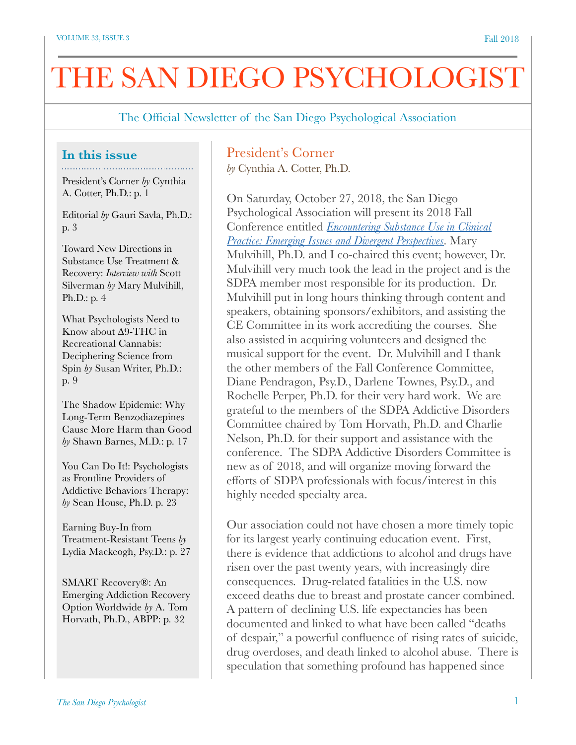# THE SAN DIEGO PSYCHOLOGIST

The Official Newsletter of the San Diego Psychological Association

#### **In this issue**

President's Corner *by* Cynthia A. Cotter, Ph.D.: p. 1

Editorial *by* Gauri Savla, Ph.D.: p. 3

Toward New Directions in Substance Use Treatment & Recovery: *Interview with* Scott Silverman *by* Mary Mulvihill, Ph.D.: p. 4

What Psychologists Need to Know about ∆9-THC in Recreational Cannabis: Deciphering Science from Spin *by* Susan Writer, Ph.D.: p. 9

The Shadow Epidemic: Why Long-Term Benzodiazepines Cause More Harm than Good *by* Shawn Barnes, M.D.: p. 17

You Can Do It!: Psychologists as Frontline Providers of Addictive Behaviors Therapy: *by* Sean House, Ph.D. p. 23

Earning Buy-In from Treatment-Resistant Teens *by*  Lydia Mackeogh, Psy.D.: p. 27

SMART Recovery®: An Emerging Addiction Recovery Option Worldwide *by* A. Tom Horvath, Ph.D., ABPP: p. 32

# President's Corner

*by* Cynthia A. Cotter, Ph.D.

On Saturday, October 27, 2018, the San Diego Psychological Association will present its 2018 Fall Conference entitled *[Encountering Substance Use in Clinical](https://www.sdpsych.org/event-2816645)  [Practice: Emerging Issues and Divergent Perspectives](https://www.sdpsych.org/event-2816645)*. Mary Mulvihill, Ph.D. and I co-chaired this event; however, Dr. Mulvihill very much took the lead in the project and is the SDPA member most responsible for its production. Dr. Mulvihill put in long hours thinking through content and speakers, obtaining sponsors/exhibitors, and assisting the CE Committee in its work accrediting the courses. She also assisted in acquiring volunteers and designed the musical support for the event. Dr. Mulvihill and I thank the other members of the Fall Conference Committee, Diane Pendragon, Psy.D., Darlene Townes, Psy.D., and Rochelle Perper, Ph.D. for their very hard work. We are grateful to the members of the SDPA Addictive Disorders Committee chaired by Tom Horvath, Ph.D. and Charlie Nelson, Ph.D. for their support and assistance with the conference. The SDPA Addictive Disorders Committee is new as of 2018, and will organize moving forward the efforts of SDPA professionals with focus/interest in this highly needed specialty area.

Our association could not have chosen a more timely topic for its largest yearly continuing education event. First, there is evidence that addictions to alcohol and drugs have risen over the past twenty years, with increasingly dire consequences. Drug-related fatalities in the U.S. now exceed deaths due to breast and prostate cancer combined. A pattern of declining U.S. life expectancies has been documented and linked to what have been called "deaths of despair," a powerful confluence of rising rates of suicide, drug overdoses, and death linked to alcohol abuse. There is speculation that something profound has happened since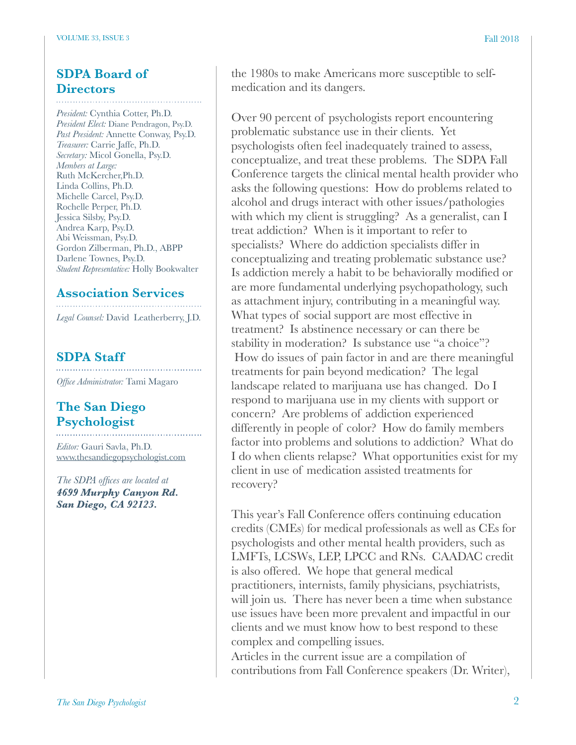# **SDPA Board of**

# **Directors**

*President:* Cynthia Cotter, Ph.D. *President Elect:* Diane Pendragon, Psy.D. *Past President:* Annette Conway, Psy.D. *Treasurer:* Carrie Jaffe, Ph.D. *Secretary:* Micol Gonella, Psy.D. *Members at Large:* Ruth McKercher,Ph.D. Linda Collins, Ph.D. Michelle Carcel, Psy.D. Rochelle Perper, Ph.D. Jessica Silsby, Psy.D. Andrea Karp, Psy.D. Abi Weissman, Psy.D. Gordon Zilberman, Ph.D., ABPP Darlene Townes, Psy.D. *Student Representative:* Holly Bookwalter

#### **Association Services**

*Legal Counsel:* David Leatherberry, J.D.

#### **SDPA Staff**

*Office Administrator:* Tami Magaro

## **The San Diego Psychologist**

*Editor:* Gauri Savla, Ph.D. [www.thesandiegopsychologist.com](http://www.thesandiegopsychologist.com)

*The SDPA offices are located at 4699 Murphy Canyon Rd. San Diego, CA 92123.* 

the 1980s to make Americans more susceptible to selfmedication and its dangers.

Over 90 percent of psychologists report encountering problematic substance use in their clients. Yet psychologists often feel inadequately trained to assess, conceptualize, and treat these problems. The SDPA Fall Conference targets the clinical mental health provider who asks the following questions: How do problems related to alcohol and drugs interact with other issues/pathologies with which my client is struggling? As a generalist, can I treat addiction? When is it important to refer to specialists? Where do addiction specialists differ in conceptualizing and treating problematic substance use? Is addiction merely a habit to be behaviorally modified or are more fundamental underlying psychopathology, such as attachment injury, contributing in a meaningful way. What types of social support are most effective in treatment? Is abstinence necessary or can there be stability in moderation? Is substance use "a choice"? How do issues of pain factor in and are there meaningful treatments for pain beyond medication? The legal landscape related to marijuana use has changed. Do I respond to marijuana use in my clients with support or concern? Are problems of addiction experienced differently in people of color? How do family members factor into problems and solutions to addiction? What do I do when clients relapse? What opportunities exist for my client in use of medication assisted treatments for recovery?

This year's Fall Conference offers continuing education credits (CMEs) for medical professionals as well as CEs for psychologists and other mental health providers, such as LMFTs, LCSWs, LEP, LPCC and RNs. CAADAC credit is also offered. We hope that general medical practitioners, internists, family physicians, psychiatrists, will join us. There has never been a time when substance use issues have been more prevalent and impactful in our clients and we must know how to best respond to these complex and compelling issues.

Articles in the current issue are a compilation of contributions from Fall Conference speakers (Dr. Writer),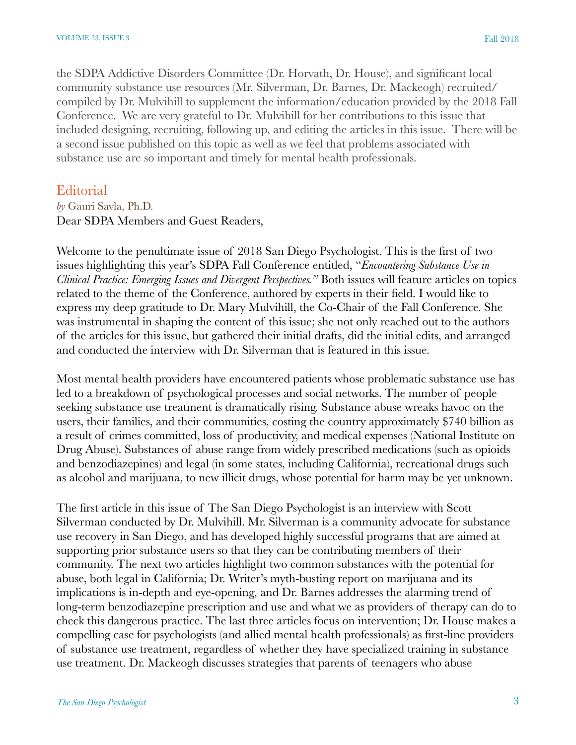the SDPA Addictive Disorders Committee (Dr. Horvath, Dr. House), and significant local community substance use resources (Mr. Silverman, Dr. Barnes, Dr. Mackeogh) recruited/ compiled by Dr. Mulvihill to supplement the information/education provided by the 2018 Fall Conference. We are very grateful to Dr. Mulvihill for her contributions to this issue that included designing, recruiting, following up, and editing the articles in this issue. There will be a second issue published on this topic as well as we feel that problems associated with substance use are so important and timely for mental health professionals.

#### **Editorial**

#### *by* Gauri Savla, Ph.D. Dear SDPA Members and Guest Readers,

Welcome to the penultimate issue of 2018 San Diego Psychologist. This is the first of two issues highlighting this year's SDPA Fall Conference entitled, "*Encountering Substance Use in Clinical Practice: Emerging Issues and Divergent Perspectives."* Both issues will feature articles on topics related to the theme of the Conference, authored by experts in their field. I would like to express my deep gratitude to Dr. Mary Mulvihill, the Co-Chair of the Fall Conference. She was instrumental in shaping the content of this issue; she not only reached out to the authors of the articles for this issue, but gathered their initial drafts, did the initial edits, and arranged and conducted the interview with Dr. Silverman that is featured in this issue.

Most mental health providers have encountered patients whose problematic substance use has led to a breakdown of psychological processes and social networks. The number of people seeking substance use treatment is dramatically rising. Substance abuse wreaks havoc on the users, their families, and their communities, costing the country approximately \$740 billion as a result of crimes committed, loss of productivity, and medical expenses (National Institute on Drug Abuse). Substances of abuse range from widely prescribed medications (such as opioids and benzodiazepines) and legal (in some states, including California), recreational drugs such as alcohol and marijuana, to new illicit drugs, whose potential for harm may be yet unknown.

The first article in this issue of The San Diego Psychologist is an interview with Scott Silverman conducted by Dr. Mulvihill. Mr. Silverman is a community advocate for substance use recovery in San Diego, and has developed highly successful programs that are aimed at supporting prior substance users so that they can be contributing members of their community. The next two articles highlight two common substances with the potential for abuse, both legal in California; Dr. Writer's myth-busting report on marijuana and its implications is in-depth and eye-opening, and Dr. Barnes addresses the alarming trend of long-term benzodiazepine prescription and use and what we as providers of therapy can do to check this dangerous practice. The last three articles focus on intervention; Dr. House makes a compelling case for psychologists (and allied mental health professionals) as first-line providers of substance use treatment, regardless of whether they have specialized training in substance use treatment. Dr. Mackeogh discusses strategies that parents of teenagers who abuse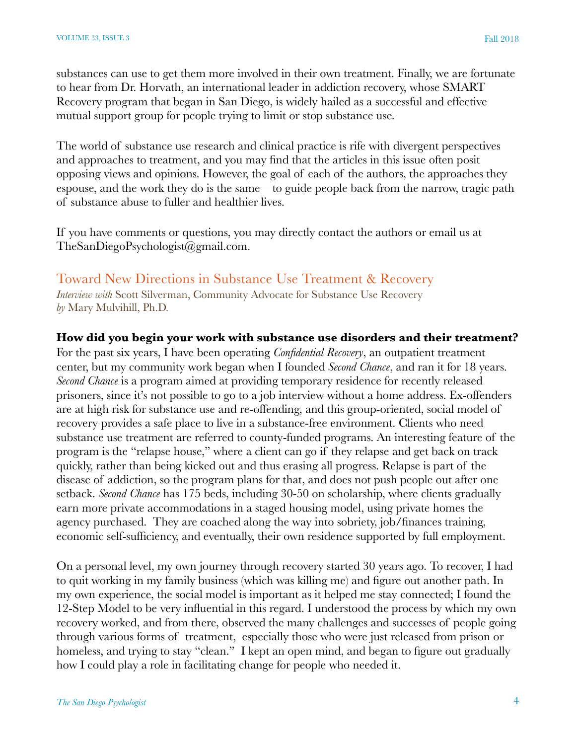substances can use to get them more involved in their own treatment. Finally, we are fortunate to hear from Dr. Horvath, an international leader in addiction recovery, whose SMART Recovery program that began in San Diego, is widely hailed as a successful and effective mutual support group for people trying to limit or stop substance use.

The world of substance use research and clinical practice is rife with divergent perspectives and approaches to treatment, and you may find that the articles in this issue often posit opposing views and opinions. However, the goal of each of the authors, the approaches they espouse, and the work they do is the same—to guide people back from the narrow, tragic path of substance abuse to fuller and healthier lives.

If you have comments or questions, you may directly contact the authors or email us at TheSanDiegoPsychologist@gmail.com.

# Toward New Directions in Substance Use Treatment & Recovery

*Interview with* Scott Silverman, Community Advocate for Substance Use Recovery *by* Mary Mulvihill, Ph.D.

#### **How did you begin your work with substance use disorders and their treatment?**

For the past six years, I have been operating *Confidential Recovery*, an outpatient treatment center, but my community work began when I founded *Second Chance*, and ran it for 18 years. *Second Chance* is a program aimed at providing temporary residence for recently released prisoners, since it's not possible to go to a job interview without a home address. Ex-offenders are at high risk for substance use and re-offending, and this group-oriented, social model of recovery provides a safe place to live in a substance-free environment. Clients who need substance use treatment are referred to county-funded programs. An interesting feature of the program is the "relapse house," where a client can go if they relapse and get back on track quickly, rather than being kicked out and thus erasing all progress. Relapse is part of the disease of addiction, so the program plans for that, and does not push people out after one setback. *Second Chance* has 175 beds, including 30-50 on scholarship, where clients gradually earn more private accommodations in a staged housing model, using private homes the agency purchased. They are coached along the way into sobriety, job/finances training, economic self-sufficiency, and eventually, their own residence supported by full employment.

On a personal level, my own journey through recovery started 30 years ago. To recover, I had to quit working in my family business (which was killing me) and figure out another path. In my own experience, the social model is important as it helped me stay connected; I found the 12-Step Model to be very influential in this regard. I understood the process by which my own recovery worked, and from there, observed the many challenges and successes of people going through various forms of treatment, especially those who were just released from prison or homeless, and trying to stay "clean." I kept an open mind, and began to figure out gradually how I could play a role in facilitating change for people who needed it.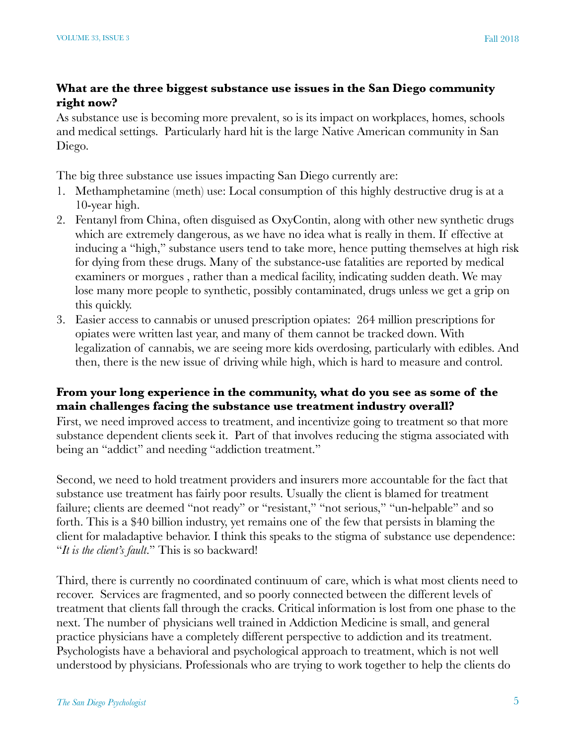#### **What are the three biggest substance use issues in the San Diego community right now?**

As substance use is becoming more prevalent, so is its impact on workplaces, homes, schools and medical settings. Particularly hard hit is the large Native American community in San Diego.

The big three substance use issues impacting San Diego currently are:

- 1. Methamphetamine (meth) use: Local consumption of this highly destructive drug is at a 10-year high.
- 2. Fentanyl from China, often disguised as OxyContin, along with other new synthetic drugs which are extremely dangerous, as we have no idea what is really in them. If effective at inducing a "high," substance users tend to take more, hence putting themselves at high risk for dying from these drugs. Many of the substance-use fatalities are reported by medical examiners or morgues , rather than a medical facility, indicating sudden death. We may lose many more people to synthetic, possibly contaminated, drugs unless we get a grip on this quickly.
- 3. Easier access to cannabis or unused prescription opiates: 264 million prescriptions for opiates were written last year, and many of them cannot be tracked down. With legalization of cannabis, we are seeing more kids overdosing, particularly with edibles. And then, there is the new issue of driving while high, which is hard to measure and control.

#### **From your long experience in the community, what do you see as some of the main challenges facing the substance use treatment industry overall?**

First, we need improved access to treatment, and incentivize going to treatment so that more substance dependent clients seek it. Part of that involves reducing the stigma associated with being an "addict" and needing "addiction treatment."

Second, we need to hold treatment providers and insurers more accountable for the fact that substance use treatment has fairly poor results. Usually the client is blamed for treatment failure; clients are deemed "not ready" or "resistant," "not serious," "un-helpable" and so forth. This is a \$40 billion industry, yet remains one of the few that persists in blaming the client for maladaptive behavior. I think this speaks to the stigma of substance use dependence: "*It is the client's fault*." This is so backward!

Third, there is currently no coordinated continuum of care, which is what most clients need to recover. Services are fragmented, and so poorly connected between the different levels of treatment that clients fall through the cracks. Critical information is lost from one phase to the next. The number of physicians well trained in Addiction Medicine is small, and general practice physicians have a completely different perspective to addiction and its treatment. Psychologists have a behavioral and psychological approach to treatment, which is not well understood by physicians. Professionals who are trying to work together to help the clients do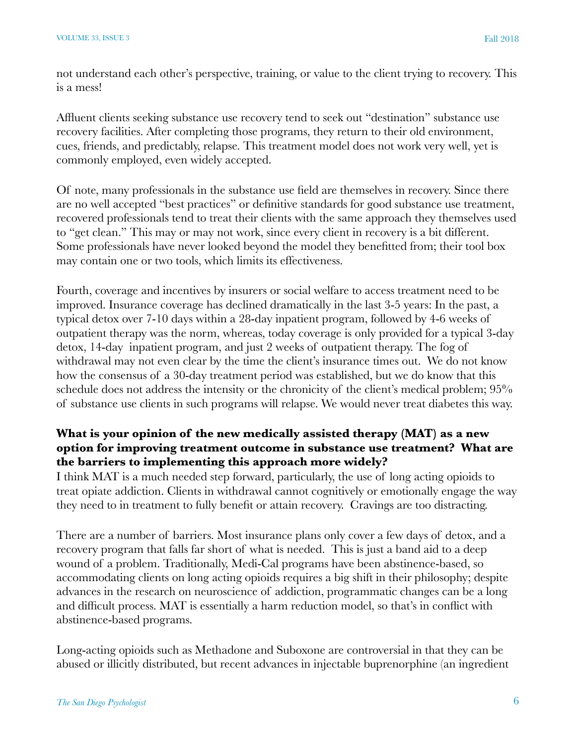not understand each other's perspective, training, or value to the client trying to recovery. This is a mess!

Affluent clients seeking substance use recovery tend to seek out "destination" substance use recovery facilities. After completing those programs, they return to their old environment, cues, friends, and predictably, relapse. This treatment model does not work very well, yet is commonly employed, even widely accepted.

Of note, many professionals in the substance use field are themselves in recovery. Since there are no well accepted "best practices" or definitive standards for good substance use treatment, recovered professionals tend to treat their clients with the same approach they themselves used to "get clean." This may or may not work, since every client in recovery is a bit different. Some professionals have never looked beyond the model they benefitted from; their tool box may contain one or two tools, which limits its effectiveness.

Fourth, coverage and incentives by insurers or social welfare to access treatment need to be improved. Insurance coverage has declined dramatically in the last 3-5 years: In the past, a typical detox over 7-10 days within a 28-day inpatient program, followed by 4-6 weeks of outpatient therapy was the norm, whereas, today coverage is only provided for a typical 3-day detox, 14-day inpatient program, and just 2 weeks of outpatient therapy. The fog of withdrawal may not even clear by the time the client's insurance times out. We do not know how the consensus of a 30-day treatment period was established, but we do know that this schedule does not address the intensity or the chronicity of the client's medical problem;  $95\%$ of substance use clients in such programs will relapse. We would never treat diabetes this way.

#### **What is your opinion of the new medically assisted therapy (MAT) as a new option for improving treatment outcome in substance use treatment? What are the barriers to implementing this approach more widely?**

I think MAT is a much needed step forward, particularly, the use of long acting opioids to treat opiate addiction. Clients in withdrawal cannot cognitively or emotionally engage the way they need to in treatment to fully benefit or attain recovery. Cravings are too distracting.

There are a number of barriers. Most insurance plans only cover a few days of detox, and a recovery program that falls far short of what is needed. This is just a band aid to a deep wound of a problem. Traditionally, Medi-Cal programs have been abstinence-based, so accommodating clients on long acting opioids requires a big shift in their philosophy; despite advances in the research on neuroscience of addiction, programmatic changes can be a long and difficult process. MAT is essentially a harm reduction model, so that's in conflict with abstinence-based programs.

Long-acting opioids such as Methadone and Suboxone are controversial in that they can be abused or illicitly distributed, but recent advances in injectable buprenorphine (an ingredient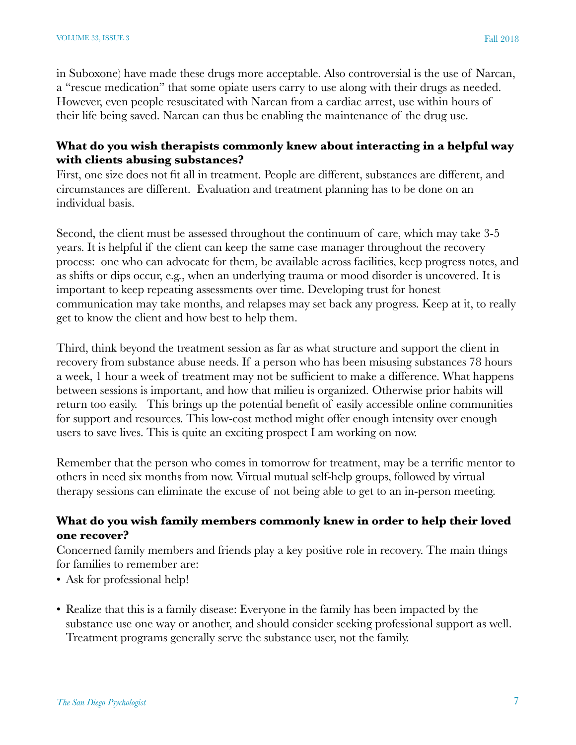in Suboxone) have made these drugs more acceptable. Also controversial is the use of Narcan, a "rescue medication" that some opiate users carry to use along with their drugs as needed. However, even people resuscitated with Narcan from a cardiac arrest, use within hours of their life being saved. Narcan can thus be enabling the maintenance of the drug use.

#### **What do you wish therapists commonly knew about interacting in a helpful way with clients abusing substances?**

First, one size does not fit all in treatment. People are different, substances are different, and circumstances are different. Evaluation and treatment planning has to be done on an individual basis.

Second, the client must be assessed throughout the continuum of care, which may take 3-5 years. It is helpful if the client can keep the same case manager throughout the recovery process: one who can advocate for them, be available across facilities, keep progress notes, and as shifts or dips occur, e.g., when an underlying trauma or mood disorder is uncovered. It is important to keep repeating assessments over time. Developing trust for honest communication may take months, and relapses may set back any progress. Keep at it, to really get to know the client and how best to help them.

Third, think beyond the treatment session as far as what structure and support the client in recovery from substance abuse needs. If a person who has been misusing substances 78 hours a week, 1 hour a week of treatment may not be sufficient to make a difference. What happens between sessions is important, and how that milieu is organized. Otherwise prior habits will return too easily. This brings up the potential benefit of easily accessible online communities for support and resources. This low-cost method might offer enough intensity over enough users to save lives. This is quite an exciting prospect I am working on now.

Remember that the person who comes in tomorrow for treatment, may be a terrific mentor to others in need six months from now. Virtual mutual self-help groups, followed by virtual therapy sessions can eliminate the excuse of not being able to get to an in-person meeting.

#### **What do you wish family members commonly knew in order to help their loved one recover?**

Concerned family members and friends play a key positive role in recovery. The main things for families to remember are:

- Ask for professional help!
- Realize that this is a family disease: Everyone in the family has been impacted by the substance use one way or another, and should consider seeking professional support as well. Treatment programs generally serve the substance user, not the family.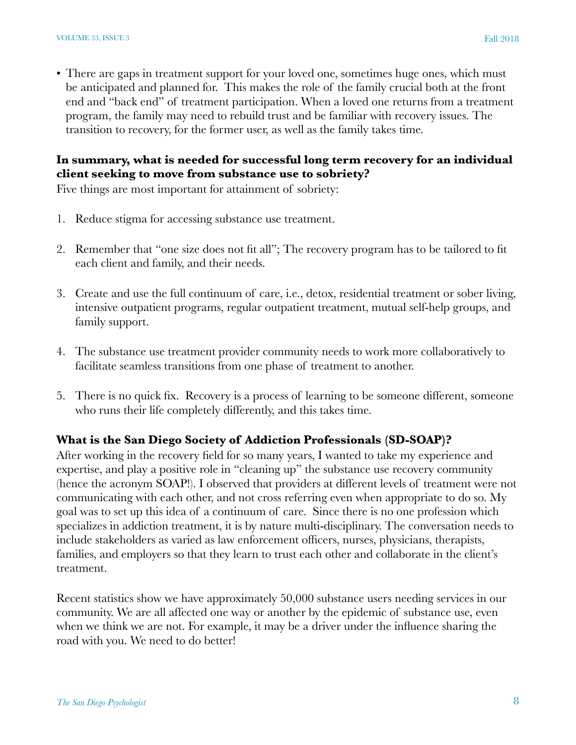• There are gaps in treatment support for your loved one, sometimes huge ones, which must be anticipated and planned for. This makes the role of the family crucial both at the front end and "back end" of treatment participation. When a loved one returns from a treatment program, the family may need to rebuild trust and be familiar with recovery issues. The transition to recovery, for the former user, as well as the family takes time.

#### **In summary, what is needed for successful long term recovery for an individual client seeking to move from substance use to sobriety?**

Five things are most important for attainment of sobriety:

- 1. Reduce stigma for accessing substance use treatment.
- 2. Remember that "one size does not fit all"; The recovery program has to be tailored to fit each client and family, and their needs.
- 3. Create and use the full continuum of care, i.e., detox, residential treatment or sober living, intensive outpatient programs, regular outpatient treatment, mutual self-help groups, and family support.
- 4. The substance use treatment provider community needs to work more collaboratively to facilitate seamless transitions from one phase of treatment to another.
- 5. There is no quick fix. Recovery is a process of learning to be someone different, someone who runs their life completely differently, and this takes time.

#### **What is the San Diego Society of Addiction Professionals (SD-SOAP)?**

After working in the recovery field for so many years, I wanted to take my experience and expertise, and play a positive role in "cleaning up" the substance use recovery community (hence the acronym SOAP!). I observed that providers at different levels of treatment were not communicating with each other, and not cross referring even when appropriate to do so. My goal was to set up this idea of a continuum of care. Since there is no one profession which specializes in addiction treatment, it is by nature multi-disciplinary. The conversation needs to include stakeholders as varied as law enforcement officers, nurses, physicians, therapists, families, and employers so that they learn to trust each other and collaborate in the client's treatment.

Recent statistics show we have approximately 50,000 substance users needing services in our community. We are all affected one way or another by the epidemic of substance use, even when we think we are not. For example, it may be a driver under the influence sharing the road with you. We need to do better!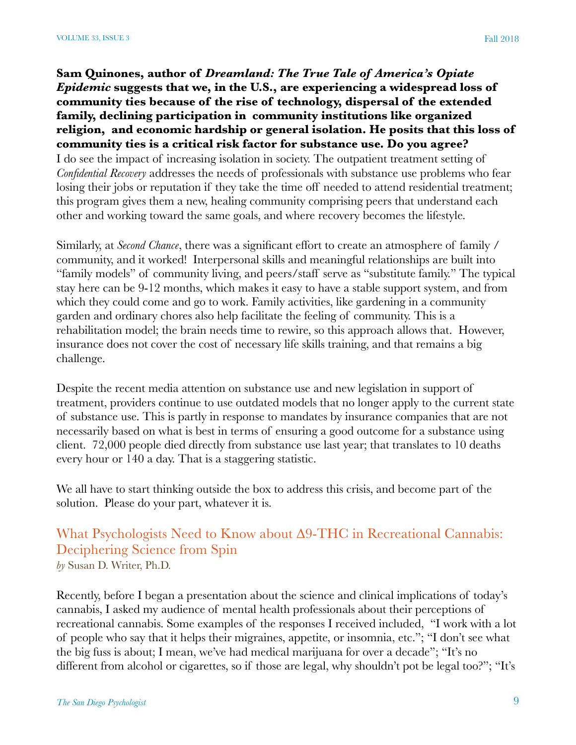#### **Sam Quinones, author of** *Dreamland: The True Tale of America's Opiate Epidemic* **suggests that we, in the U.S., are experiencing a widespread loss of community ties because of the rise of technology, dispersal of the extended family, declining participation in community institutions like organized religion, and economic hardship or general isolation. He posits that this loss of community ties is a critical risk factor for substance use. Do you agree?**

I do see the impact of increasing isolation in society. The outpatient treatment setting of *Confidential Recovery* addresses the needs of professionals with substance use problems who fear losing their jobs or reputation if they take the time off needed to attend residential treatment; this program gives them a new, healing community comprising peers that understand each other and working toward the same goals, and where recovery becomes the lifestyle.

Similarly, at *Second Chance*, there was a significant effort to create an atmosphere of family / community, and it worked! Interpersonal skills and meaningful relationships are built into "family models" of community living, and peers/staff serve as "substitute family." The typical stay here can be 9-12 months, which makes it easy to have a stable support system, and from which they could come and go to work. Family activities, like gardening in a community garden and ordinary chores also help facilitate the feeling of community. This is a rehabilitation model; the brain needs time to rewire, so this approach allows that. However, insurance does not cover the cost of necessary life skills training, and that remains a big challenge.

Despite the recent media attention on substance use and new legislation in support of treatment, providers continue to use outdated models that no longer apply to the current state of substance use. This is partly in response to mandates by insurance companies that are not necessarily based on what is best in terms of ensuring a good outcome for a substance using client. 72,000 people died directly from substance use last year; that translates to 10 deaths every hour or 140 a day. That is a staggering statistic.

We all have to start thinking outside the box to address this crisis, and become part of the solution. Please do your part, whatever it is.

# What Psychologists Need to Know about ∆9-THC in Recreational Cannabis: Deciphering Science from Spin

*by* Susan D. Writer, Ph.D.

Recently, before I began a presentation about the science and clinical implications of today's cannabis, I asked my audience of mental health professionals about their perceptions of recreational cannabis. Some examples of the responses I received included, "I work with a lot of people who say that it helps their migraines, appetite, or insomnia, etc."; "I don't see what the big fuss is about; I mean, we've had medical marijuana for over a decade"; "It's no different from alcohol or cigarettes, so if those are legal, why shouldn't pot be legal too?"; "It's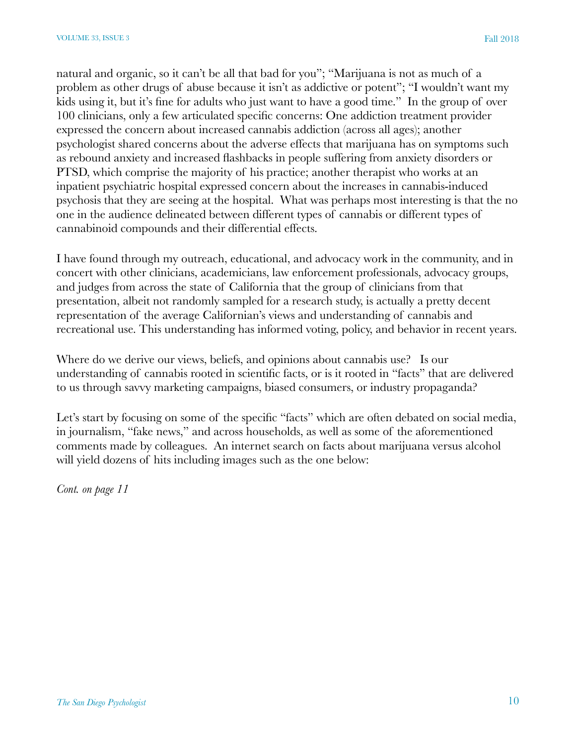natural and organic, so it can't be all that bad for you"; "Marijuana is not as much of a problem as other drugs of abuse because it isn't as addictive or potent"; "I wouldn't want my kids using it, but it's fine for adults who just want to have a good time." In the group of over 100 clinicians, only a few articulated specific concerns: One addiction treatment provider expressed the concern about increased cannabis addiction (across all ages); another psychologist shared concerns about the adverse effects that marijuana has on symptoms such as rebound anxiety and increased flashbacks in people suffering from anxiety disorders or PTSD, which comprise the majority of his practice; another therapist who works at an inpatient psychiatric hospital expressed concern about the increases in cannabis-induced psychosis that they are seeing at the hospital. What was perhaps most interesting is that the no one in the audience delineated between different types of cannabis or different types of cannabinoid compounds and their differential effects.

I have found through my outreach, educational, and advocacy work in the community, and in concert with other clinicians, academicians, law enforcement professionals, advocacy groups, and judges from across the state of California that the group of clinicians from that presentation, albeit not randomly sampled for a research study, is actually a pretty decent representation of the average Californian's views and understanding of cannabis and recreational use. This understanding has informed voting, policy, and behavior in recent years.

Where do we derive our views, beliefs, and opinions about cannabis use? Is our understanding of cannabis rooted in scientific facts, or is it rooted in "facts" that are delivered to us through savvy marketing campaigns, biased consumers, or industry propaganda?

Let's start by focusing on some of the specific "facts" which are often debated on social media, in journalism, "fake news," and across households, as well as some of the aforementioned comments made by colleagues. An internet search on facts about marijuana versus alcohol will yield dozens of hits including images such as the one below:

*Cont. on page 11*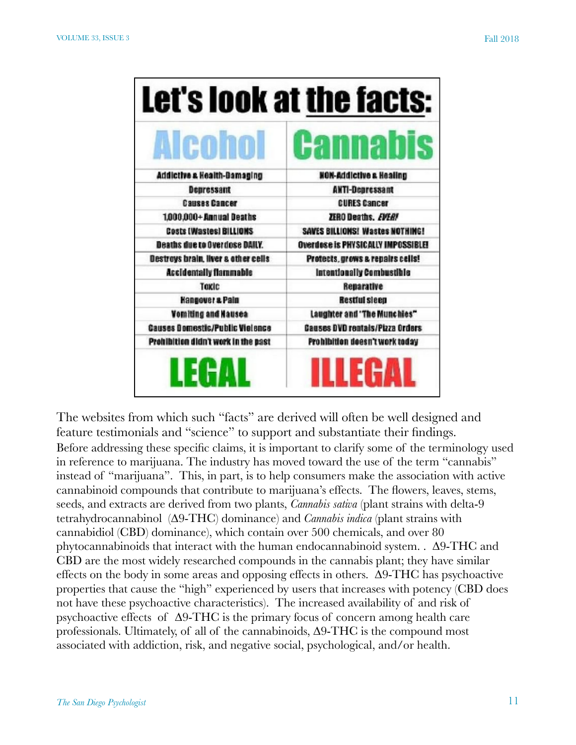| Let's look at the facts:               |                                           |
|----------------------------------------|-------------------------------------------|
| <b>Alcohol</b>                         | <b>Cannabis</b>                           |
| Addictive a Health-Bamaging            | <b>NON-Addictive a Healing</b>            |
| Depressant                             | <b>ANTI-Depressant</b>                    |
| <b>Causes Cancer</b>                   | <b>CURES Cancer</b>                       |
| 1,000,000+Annual Deaths                | ZERO Deaths, EVER!                        |
| Costs (Wastes) BILLIONS                | SAVES BILLIONS! Wastes NOTHING!           |
| <b>Deaths due to Overdose DAILY.</b>   | <b>Overdose is PHYSICALLY IMPOSSIBLE!</b> |
| Destroys brain, liver a other cells    | Protects, grows a repairs cells!          |
| <b>Accidentally flammable</b>          | Intentionally Combustible                 |
| Taxic                                  | Reparative                                |
| <b>Hangover &amp; Pain</b>             | <b>Restful sleep</b>                      |
| Vomiting and Hausea                    | Laughter and 'The Munchies"               |
| <b>Causes Domestic/Public Vielence</b> | <b>Causes DVD rentals/Pizza Orders</b>    |
| Prohibition didn't work in the past    | Prohibition deesn't work today            |
| LEGAL                                  | ILLEGAL                                   |

The websites from which such "facts" are derived will often be well designed and feature testimonials and "science" to support and substantiate their findings. Before addressing these specific claims, it is important to clarify some of the terminology used in reference to marijuana. The industry has moved toward the use of the term "cannabis" instead of "marijuana". This, in part, is to help consumers make the association with active cannabinoid compounds that contribute to marijuana's effects. The flowers, leaves, stems, seeds, and extracts are derived from two plants, *Cannabis sativa* (plant strains with delta-9 tetrahydrocannabinol (∆9-THC) dominance) and *Cannabis indica* (plant strains with cannabidiol (CBD) dominance), which contain over 500 chemicals, and over 80 phytocannabinoids that interact with the human endocannabinoid system. . ∆9-THC and CBD are the most widely researched compounds in the cannabis plant; they have similar effects on the body in some areas and opposing effects in others. ∆9-THC has psychoactive properties that cause the "high" experienced by users that increases with potency (CBD does not have these psychoactive characteristics). The increased availability of and risk of psychoactive effects of ∆9-THC is the primary focus of concern among health care professionals. Ultimately, of all of the cannabinoids, ∆9-THC is the compound most associated with addiction, risk, and negative social, psychological, and/or health.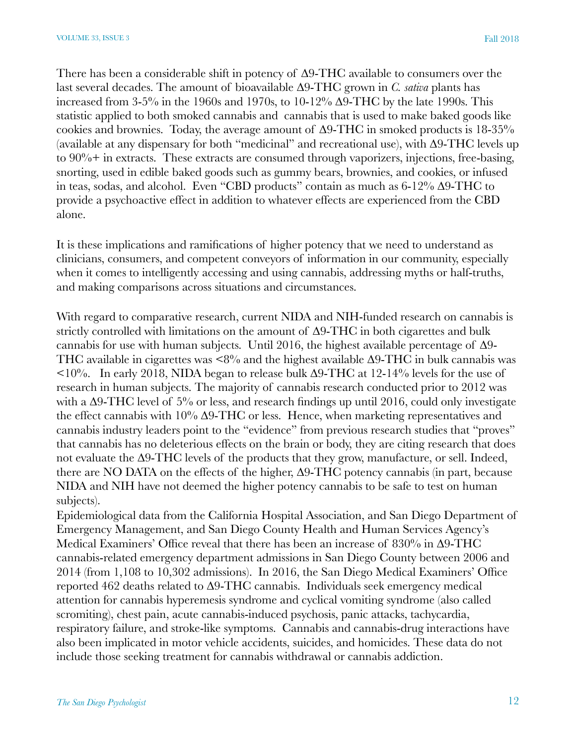There has been a considerable shift in potency of ∆9-THC available to consumers over the last several decades. The amount of bioavailable ∆9-THC grown in *C. sativa* plants has increased from 3-5% in the 1960s and 1970s, to 10-12%  $\Delta$ 9-THC by the late 1990s. This statistic applied to both smoked cannabis and cannabis that is used to make baked goods like cookies and brownies. Today, the average amount of ∆9-THC in smoked products is 18-35% (available at any dispensary for both "medicinal" and recreational use), with ∆9-THC levels up to 90%+ in extracts. These extracts are consumed through vaporizers, injections, free-basing, snorting, used in edible baked goods such as gummy bears, brownies, and cookies, or infused in teas, sodas, and alcohol. Even "CBD products" contain as much as 6-12% ∆9-THC to provide a psychoactive effect in addition to whatever effects are experienced from the CBD alone.

It is these implications and ramifications of higher potency that we need to understand as clinicians, consumers, and competent conveyors of information in our community, especially when it comes to intelligently accessing and using cannabis, addressing myths or half-truths, and making comparisons across situations and circumstances.

With regard to comparative research, current NIDA and NIH-funded research on cannabis is strictly controlled with limitations on the amount of ∆9-THC in both cigarettes and bulk cannabis for use with human subjects. Until 2016, the highest available percentage of ∆9- THC available in cigarettes was  $\leq 8\%$  and the highest available  $\Delta 9\text{-}THC$  in bulk cannabis was <10%. In early 2018, NIDA began to release bulk ∆9-THC at 12-14% levels for the use of research in human subjects. The majority of cannabis research conducted prior to 2012 was with a ∆9-THC level of 5% or less, and research findings up until 2016, could only investigate the effect cannabis with 10% Δ9-THC or less. Hence, when marketing representatives and cannabis industry leaders point to the "evidence" from previous research studies that "proves" that cannabis has no deleterious effects on the brain or body, they are citing research that does not evaluate the ∆9-THC levels of the products that they grow, manufacture, or sell. Indeed, there are NO DATA on the effects of the higher, ∆9-THC potency cannabis (in part, because NIDA and NIH have not deemed the higher potency cannabis to be safe to test on human subjects).

Epidemiological data from the California Hospital Association, and San Diego Department of Emergency Management, and San Diego County Health and Human Services Agency's Medical Examiners' Office reveal that there has been an increase of 830% in ∆9-THC cannabis-related emergency department admissions in San Diego County between 2006 and 2014 (from 1,108 to 10,302 admissions). In 2016, the San Diego Medical Examiners' Office reported 462 deaths related to ∆9-THC cannabis. Individuals seek emergency medical attention for cannabis hyperemesis syndrome and cyclical vomiting syndrome (also called scromiting), chest pain, acute cannabis-induced psychosis, panic attacks, tachycardia, respiratory failure, and stroke-like symptoms. Cannabis and cannabis-drug interactions have also been implicated in motor vehicle accidents, suicides, and homicides. These data do not include those seeking treatment for cannabis withdrawal or cannabis addiction.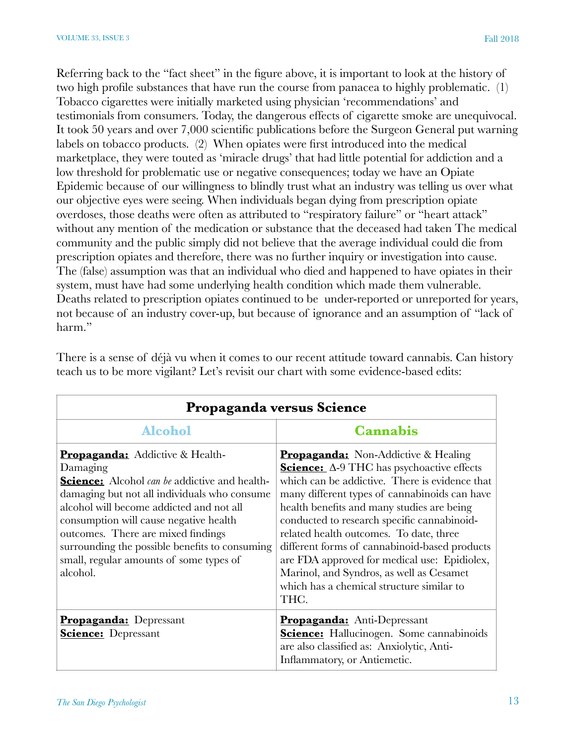Referring back to the "fact sheet" in the figure above, it is important to look at the history of two high profile substances that have run the course from panacea to highly problematic. (1) Tobacco cigarettes were initially marketed using physician 'recommendations' and testimonials from consumers. Today, the dangerous effects of cigarette smoke are unequivocal. It took 50 years and over 7,000 scientific publications before the Surgeon General put warning labels on tobacco products. (2) When opiates were first introduced into the medical marketplace, they were touted as 'miracle drugs' that had little potential for addiction and a low threshold for problematic use or negative consequences; today we have an Opiate Epidemic because of our willingness to blindly trust what an industry was telling us over what our objective eyes were seeing. When individuals began dying from prescription opiate overdoses, those deaths were often as attributed to "respiratory failure" or "heart attack" without any mention of the medication or substance that the deceased had taken The medical community and the public simply did not believe that the average individual could die from prescription opiates and therefore, there was no further inquiry or investigation into cause. The (false) assumption was that an individual who died and happened to have opiates in their system, must have had some underlying health condition which made them vulnerable. Deaths related to prescription opiates continued to be under-reported or unreported for years, not because of an industry cover-up, but because of ignorance and an assumption of "lack of harm."

| Propaganda versus Science                                                                                                                                                                                                                                                                                                                                                                              |                                                                                                                                                                                                                                                                                                                                                                                                                                                                                                                                      |  |
|--------------------------------------------------------------------------------------------------------------------------------------------------------------------------------------------------------------------------------------------------------------------------------------------------------------------------------------------------------------------------------------------------------|--------------------------------------------------------------------------------------------------------------------------------------------------------------------------------------------------------------------------------------------------------------------------------------------------------------------------------------------------------------------------------------------------------------------------------------------------------------------------------------------------------------------------------------|--|
| <b>Alcohol</b>                                                                                                                                                                                                                                                                                                                                                                                         | <b>Cannabis</b>                                                                                                                                                                                                                                                                                                                                                                                                                                                                                                                      |  |
| <b>Propaganda:</b> Addictive & Health-<br>Damaging<br><b>Science:</b> Alcohol <i>can be</i> addictive and health-<br>damaging but not all individuals who consume<br>alcohol will become addicted and not all<br>consumption will cause negative health<br>outcomes. There are mixed findings<br>surrounding the possible benefits to consuming<br>small, regular amounts of some types of<br>alcohol. | <b>Propaganda:</b> Non-Addictive & Healing<br>Science: Δ-9 THC has psychoactive effects<br>which can be addictive. There is evidence that<br>many different types of cannabinoids can have<br>health benefits and many studies are being<br>conducted to research specific cannabinoid-<br>related health outcomes. To date, three<br>different forms of cannabinoid-based products<br>are FDA approved for medical use: Epidiolex,<br>Marinol, and Syndros, as well as Cesamet<br>which has a chemical structure similar to<br>THC. |  |
| <b>Propaganda:</b> Depressant<br><b>Science:</b> Depressant                                                                                                                                                                                                                                                                                                                                            | <b>Propaganda:</b> Anti-Depressant<br><b>Science:</b> Hallucinogen. Some cannabinoids<br>are also classified as: Anxiolytic, Anti-<br>Inflammatory, or Antiemetic.                                                                                                                                                                                                                                                                                                                                                                   |  |

There is a sense of déjà vu when it comes to our recent attitude toward cannabis. Can history teach us to be more vigilant? Let's revisit our chart with some evidence-based edits: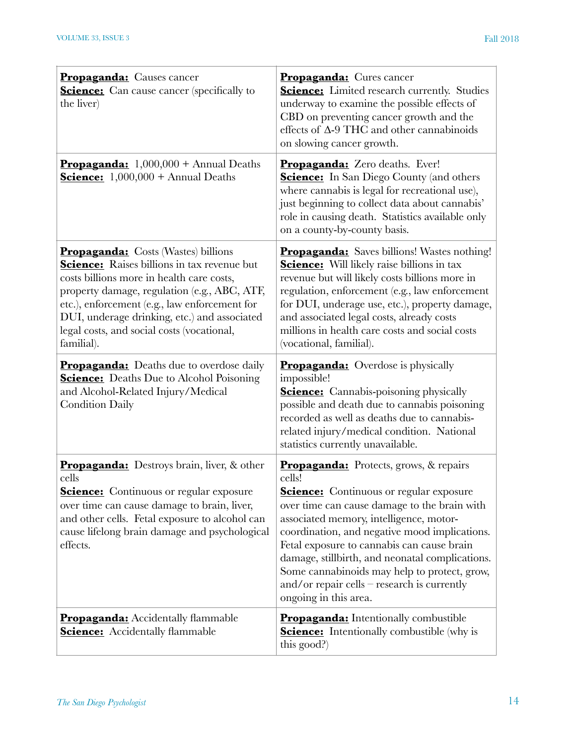| <b>Propaganda:</b> Causes cancer<br><b>Science:</b> Can cause cancer (specifically to<br>the liver)                                                                                                                                                                                                                                                        | <b>Propaganda:</b> Cures cancer<br><b>Science:</b> Limited research currently. Studies<br>underway to examine the possible effects of<br>CBD on preventing cancer growth and the<br>effects of $\Delta$ -9 THC and other cannabinoids<br>on slowing cancer growth.                                                                                                                                                                                                               |
|------------------------------------------------------------------------------------------------------------------------------------------------------------------------------------------------------------------------------------------------------------------------------------------------------------------------------------------------------------|----------------------------------------------------------------------------------------------------------------------------------------------------------------------------------------------------------------------------------------------------------------------------------------------------------------------------------------------------------------------------------------------------------------------------------------------------------------------------------|
| <b>Propaganda:</b> $1,000,000 +$ Annual Deaths<br><b><u>Science:</u></b> $1,000,000 +$ Annual Deaths                                                                                                                                                                                                                                                       | <b>Propaganda:</b> Zero deaths. Ever!<br><b>Science:</b> In San Diego County (and others<br>where cannabis is legal for recreational use),<br>just beginning to collect data about cannabis'<br>role in causing death. Statistics available only<br>on a county-by-county basis.                                                                                                                                                                                                 |
| <b>Propaganda:</b> Costs (Wastes) billions<br><b>Science:</b> Raises billions in tax revenue but<br>costs billions more in health care costs,<br>property damage, regulation (e.g., ABC, ATF,<br>etc.), enforcement (e.g., law enforcement for<br>DUI, underage drinking, etc.) and associated<br>legal costs, and social costs (vocational,<br>familial). | <b>Propaganda:</b> Saves billions! Wastes nothing!<br><b>Science:</b> Will likely raise billions in tax<br>revenue but will likely costs billions more in<br>regulation, enforcement (e.g., law enforcement<br>for DUI, underage use, etc.), property damage,<br>and associated legal costs, already costs<br>millions in health care costs and social costs<br>(vocational, familial).                                                                                          |
| <b>Propaganda:</b> Deaths due to overdose daily<br><b>Science:</b> Deaths Due to Alcohol Poisoning<br>and Alcohol-Related Injury/Medical<br><b>Condition Daily</b>                                                                                                                                                                                         | <b>Propaganda:</b> Overdose is physically<br>impossible!<br><b>Science:</b> Cannabis-poisoning physically<br>possible and death due to cannabis poisoning<br>recorded as well as deaths due to cannabis-<br>related injury/medical condition. National<br>statistics currently unavailable.                                                                                                                                                                                      |
| <b>Propaganda:</b> Destroys brain, liver, & other<br>cells<br><b>Science:</b> Continuous or regular exposure<br>over time can cause damage to brain, liver,<br>and other cells. Fetal exposure to alcohol can<br>cause lifelong brain damage and psychological<br>effects.                                                                                 | <b>Propaganda:</b> Protects, grows, & repairs<br>cells!<br><b>Science:</b> Continuous or regular exposure<br>over time can cause damage to the brain with<br>associated memory, intelligence, motor-<br>coordination, and negative mood implications.<br>Fetal exposure to cannabis can cause brain<br>damage, stillbirth, and neonatal complications.<br>Some cannabinoids may help to protect, grow,<br>and/or repair cells $-$ research is currently<br>ongoing in this area. |
| <b>Propaganda:</b> Accidentally flammable<br><b>Science:</b> Accidentally flammable                                                                                                                                                                                                                                                                        | <b>Propaganda:</b> Intentionally combustible<br><b>Science:</b> Intentionally combustible (why is<br>this good?)                                                                                                                                                                                                                                                                                                                                                                 |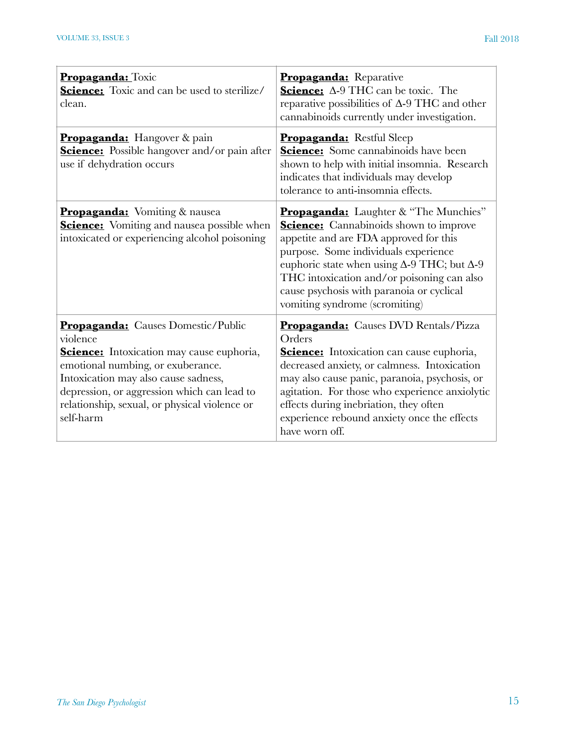| <b>Propaganda:</b> Toxic<br><b>Science:</b> Toxic and can be used to sterilize/<br>clean.                                                                                                                                                                                                           | Propaganda: Reparative<br>Science: Δ-9 THC can be toxic. The<br>reparative possibilities of $\Delta$ -9 THC and other<br>cannabinoids currently under investigation.                                                                                                                                                                                                    |
|-----------------------------------------------------------------------------------------------------------------------------------------------------------------------------------------------------------------------------------------------------------------------------------------------------|-------------------------------------------------------------------------------------------------------------------------------------------------------------------------------------------------------------------------------------------------------------------------------------------------------------------------------------------------------------------------|
| <b>Propaganda:</b> Hangover & pain<br><b>Science:</b> Possible hangover and/or pain after<br>use if dehydration occurs                                                                                                                                                                              | Propaganda: Restful Sleep<br><b>Science:</b> Some cannabinoids have been<br>shown to help with initial insomnia. Research<br>indicates that individuals may develop<br>tolerance to anti-insomnia effects.                                                                                                                                                              |
| <b>Propaganda:</b> Vomiting & nausea<br><b>Science:</b> Vomiting and nausea possible when<br>intoxicated or experiencing alcohol poisoning                                                                                                                                                          | Propaganda: Laughter & "The Munchies"<br><b>Science:</b> Cannabinoids shown to improve<br>appetite and are FDA approved for this<br>purpose. Some individuals experience<br>euphoric state when using $\Delta$ -9 THC; but $\Delta$ -9<br>THC intoxication and/or poisoning can also<br>cause psychosis with paranoia or cyclical<br>vomiting syndrome (scromiting)     |
| <b>Propaganda:</b> Causes Domestic/Public<br>violence<br><b>Science:</b> Intoxication may cause euphoria,<br>emotional numbing, or exuberance.<br>Intoxication may also cause sadness,<br>depression, or aggression which can lead to<br>relationship, sexual, or physical violence or<br>self-harm | <b>Propaganda:</b> Causes DVD Rentals/Pizza<br>Orders<br><b>Science:</b> Intoxication can cause euphoria,<br>decreased anxiety, or calmness. Intoxication<br>may also cause panic, paranoia, psychosis, or<br>agitation. For those who experience anxiolytic<br>effects during inebriation, they often<br>experience rebound anxiety once the effects<br>have worn off. |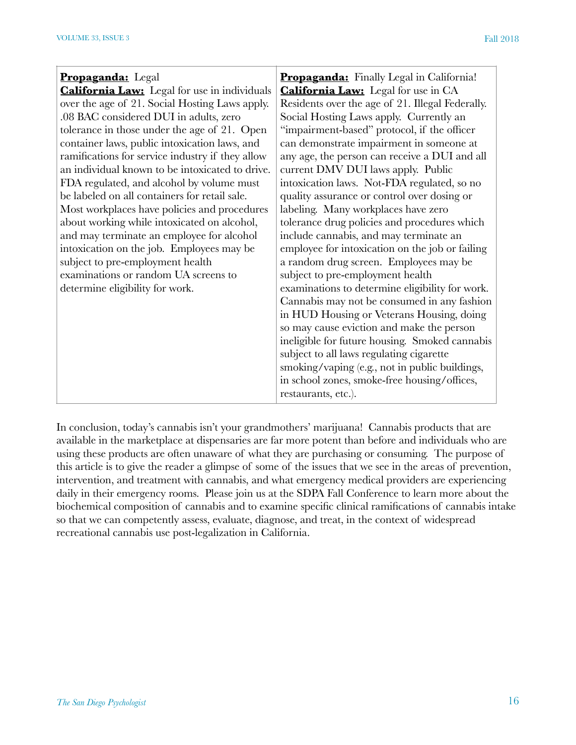| <b>Propaganda:</b> Legal                            | Propaganda: Finally Legal in California!         |
|-----------------------------------------------------|--------------------------------------------------|
| <b>California Law:</b> Legal for use in individuals | <b>California Law:</b> Legal for use in CA       |
| over the age of 21. Social Hosting Laws apply.      | Residents over the age of 21. Illegal Federally. |
| .08 BAC considered DUI in adults, zero              | Social Hosting Laws apply. Currently an          |
| tolerance in those under the age of 21. Open        | "impairment-based" protocol, if the officer      |
| container laws, public intoxication laws, and       | can demonstrate impairment in someone at         |
| ramifications for service industry if they allow    | any age, the person can receive a DUI and all    |
| an individual known to be intoxicated to drive.     | current DMV DUI laws apply. Public               |
| FDA regulated, and alcohol by volume must           | intoxication laws. Not-FDA regulated, so no      |
| be labeled on all containers for retail sale.       | quality assurance or control over dosing or      |
| Most workplaces have policies and procedures        | labeling. Many workplaces have zero              |
| about working while intoxicated on alcohol,         | tolerance drug policies and procedures which     |
| and may terminate an employee for alcohol           | include cannabis, and may terminate an           |
| intoxication on the job. Employees may be           | employee for intoxication on the job or failing  |
| subject to pre-employment health                    | a random drug screen. Employees may be           |
| examinations or random UA screens to                | subject to pre-employment health                 |
| determine eligibility for work.                     | examinations to determine eligibility for work.  |
|                                                     | Cannabis may not be consumed in any fashion      |
|                                                     | in HUD Housing or Veterans Housing, doing        |
|                                                     | so may cause eviction and make the person        |
|                                                     | ineligible for future housing. Smoked cannabis   |
|                                                     | subject to all laws regulating cigarette         |
|                                                     | smoking/vaping (e.g., not in public buildings,   |
|                                                     | in school zones, smoke-free housing/offices,     |
|                                                     | restaurants, etc.).                              |

In conclusion, today's cannabis isn't your grandmothers' marijuana! Cannabis products that are available in the marketplace at dispensaries are far more potent than before and individuals who are using these products are often unaware of what they are purchasing or consuming. The purpose of this article is to give the reader a glimpse of some of the issues that we see in the areas of prevention, intervention, and treatment with cannabis, and what emergency medical providers are experiencing daily in their emergency rooms. Please join us at the SDPA Fall Conference to learn more about the biochemical composition of cannabis and to examine specific clinical ramifications of cannabis intake so that we can competently assess, evaluate, diagnose, and treat, in the context of widespread recreational cannabis use post-legalization in California.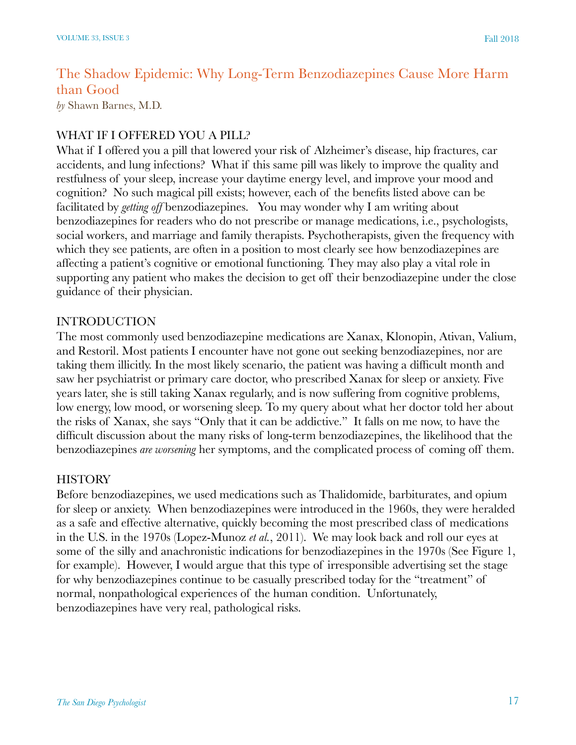# The Shadow Epidemic: Why Long-Term Benzodiazepines Cause More Harm than Good

*by* Shawn Barnes, M.D.

#### WHAT IF I OFFERED YOU A PILL?

What if I offered you a pill that lowered your risk of Alzheimer's disease, hip fractures, car accidents, and lung infections? What if this same pill was likely to improve the quality and restfulness of your sleep, increase your daytime energy level, and improve your mood and cognition? No such magical pill exists; however, each of the benefits listed above can be facilitated by *getting off* benzodiazepines. You may wonder why I am writing about benzodiazepines for readers who do not prescribe or manage medications, i.e., psychologists, social workers, and marriage and family therapists. Psychotherapists, given the frequency with which they see patients, are often in a position to most clearly see how benzodiazepines are affecting a patient's cognitive or emotional functioning. They may also play a vital role in supporting any patient who makes the decision to get off their benzodiazepine under the close guidance of their physician.

#### INTRODUCTION

The most commonly used benzodiazepine medications are Xanax, Klonopin, Ativan, Valium, and Restoril. Most patients I encounter have not gone out seeking benzodiazepines, nor are taking them illicitly. In the most likely scenario, the patient was having a difficult month and saw her psychiatrist or primary care doctor, who prescribed Xanax for sleep or anxiety. Five years later, she is still taking Xanax regularly, and is now suffering from cognitive problems, low energy, low mood, or worsening sleep. To my query about what her doctor told her about the risks of Xanax, she says "Only that it can be addictive." It falls on me now, to have the difficult discussion about the many risks of long-term benzodiazepines, the likelihood that the benzodiazepines *are worsening* her symptoms, and the complicated process of coming off them.

#### **HISTORY**

Before benzodiazepines, we used medications such as Thalidomide, barbiturates, and opium for sleep or anxiety. When benzodiazepines were introduced in the 1960s, they were heralded as a safe and effective alternative, quickly becoming the most prescribed class of medications in the U.S. in the 1970s (Lopez-Munoz *et al.*, 2011). We may look back and roll our eyes at some of the silly and anachronistic indications for benzodiazepines in the 1970s (See Figure 1, for example). However, I would argue that this type of irresponsible advertising set the stage for why benzodiazepines continue to be casually prescribed today for the "treatment" of normal, nonpathological experiences of the human condition. Unfortunately, benzodiazepines have very real, pathological risks.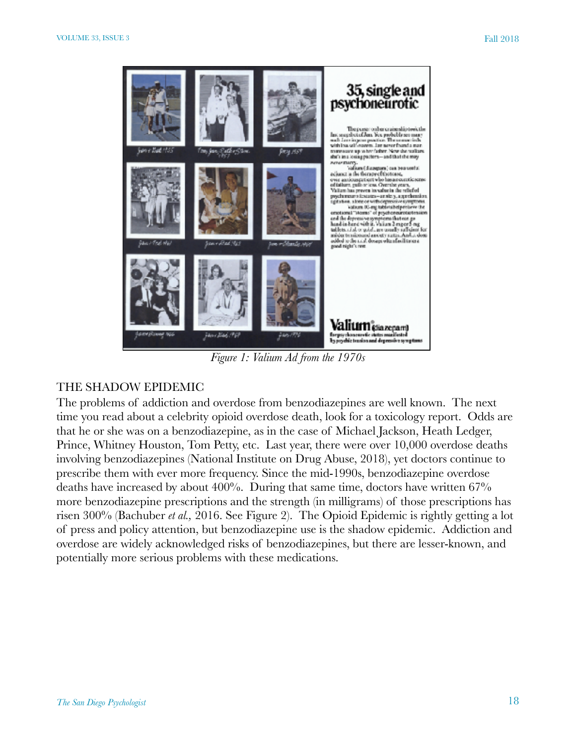

*Figure 1: Valium Ad from the 1970s* 

#### THE SHADOW EPIDEMIC

The problems of addiction and overdose from benzodiazepines are well known. The next time you read about a celebrity opioid overdose death, look for a toxicology report. Odds are that he or she was on a benzodiazepine, as in the case of Michael Jackson, Heath Ledger, Prince, Whitney Houston, Tom Petty, etc. Last year, there were over 10,000 overdose deaths involving benzodiazepines (National Institute on Drug Abuse, 2018), yet doctors continue to prescribe them with ever more frequency. Since the mid-1990s, benzodiazepine overdose deaths have increased by about 400%. During that same time, doctors have written 67% more benzodiazepine prescriptions and the strength (in milligrams) of those prescriptions has risen 300% (Bachuber *et al.,* 2016. See Figure 2). The Opioid Epidemic is rightly getting a lot of press and policy attention, but benzodiazepine use is the shadow epidemic. Addiction and overdose are widely acknowledged risks of benzodiazepines, but there are lesser-known, and potentially more serious problems with these medications.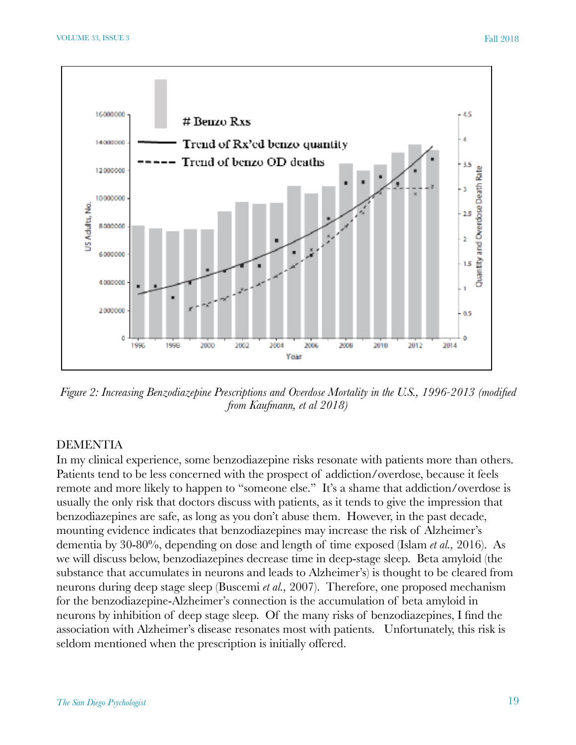

*Figure 2: Increasing Benzodiazepine Prescriptions and Overdose Mortality in the U.S., 1996-2013 (modified from Kaufmann, et al 2018)* 

#### DEMENTIA

In my clinical experience, some benzodiazepine risks resonate with patients more than others. Patients tend to be less concerned with the prospect of addiction/overdose, because it feels remote and more likely to happen to "someone else." It's a shame that addiction/overdose is usually the only risk that doctors discuss with patients, as it tends to give the impression that benzodiazepines are safe, as long as you don't abuse them. However, in the past decade, mounting evidence indicates that benzodiazepines may increase the risk of Alzheimer's dementia by 30-80%, depending on dose and length of time exposed (Islam *et al.,* 2016). As we will discuss below, benzodiazepines decrease time in deep-stage sleep. Beta amyloid (the substance that accumulates in neurons and leads to Alzheimer's) is thought to be cleared from neurons during deep stage sleep (Buscemi *et al.,* 2007). Therefore, one proposed mechanism for the benzodiazepine-Alzheimer's connection is the accumulation of beta amyloid in neurons by inhibition of deep stage sleep. Of the many risks of benzodiazepines, I find the association with Alzheimer's disease resonates most with patients. Unfortunately, this risk is seldom mentioned when the prescription is initially offered.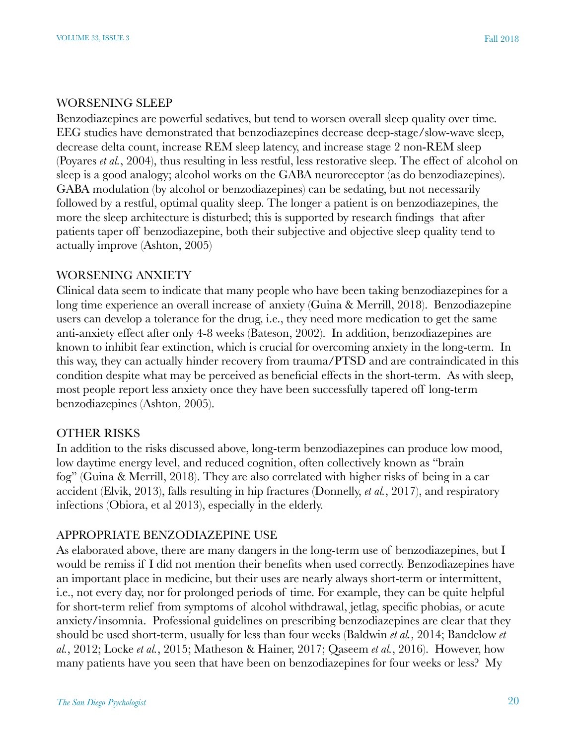#### WORSENING SLEEP

Benzodiazepines are powerful sedatives, but tend to worsen overall sleep quality over time. EEG studies have demonstrated that benzodiazepines decrease deep-stage/slow-wave sleep, decrease delta count, increase REM sleep latency, and increase stage 2 non-REM sleep (Poyares *et al.*, 2004), thus resulting in less restful, less restorative sleep. The effect of alcohol on sleep is a good analogy; alcohol works on the GABA neuroreceptor (as do benzodiazepines). GABA modulation (by alcohol or benzodiazepines) can be sedating, but not necessarily followed by a restful, optimal quality sleep. The longer a patient is on benzodiazepines, the more the sleep architecture is disturbed; this is supported by research findings that after patients taper off benzodiazepine, both their subjective and objective sleep quality tend to actually improve (Ashton, 2005)

#### WORSENING ANXIETY

Clinical data seem to indicate that many people who have been taking benzodiazepines for a long time experience an overall increase of anxiety (Guina & Merrill, 2018). Benzodiazepine users can develop a tolerance for the drug, i.e., they need more medication to get the same anti-anxiety effect after only 4-8 weeks (Bateson, 2002). In addition, benzodiazepines are known to inhibit fear extinction, which is crucial for overcoming anxiety in the long-term. In this way, they can actually hinder recovery from trauma/PTSD and are contraindicated in this condition despite what may be perceived as beneficial effects in the short-term. As with sleep, most people report less anxiety once they have been successfully tapered off long-term benzodiazepines (Ashton, 2005).

#### OTHER RISKS

In addition to the risks discussed above, long-term benzodiazepines can produce low mood, low daytime energy level, and reduced cognition, often collectively known as "brain fog" (Guina & Merrill, 2018). They are also correlated with higher risks of being in a car accident (Elvik, 2013), falls resulting in hip fractures (Donnelly, *et al.*, 2017), and respiratory infections (Obiora, et al 2013), especially in the elderly.

#### APPROPRIATE BENZODIAZEPINE USE

As elaborated above, there are many dangers in the long-term use of benzodiazepines, but I would be remiss if I did not mention their benefits when used correctly. Benzodiazepines have an important place in medicine, but their uses are nearly always short-term or intermittent, i.e., not every day, nor for prolonged periods of time. For example, they can be quite helpful for short-term relief from symptoms of alcohol withdrawal, jetlag, specific phobias, or acute anxiety/insomnia. Professional guidelines on prescribing benzodiazepines are clear that they should be used short-term, usually for less than four weeks (Baldwin *et al.*, 2014; Bandelow *et al.*, 2012; Locke *et al.*, 2015; Matheson & Hainer, 2017; Qaseem *et al.*, 2016). However, how many patients have you seen that have been on benzodiazepines for four weeks or less? My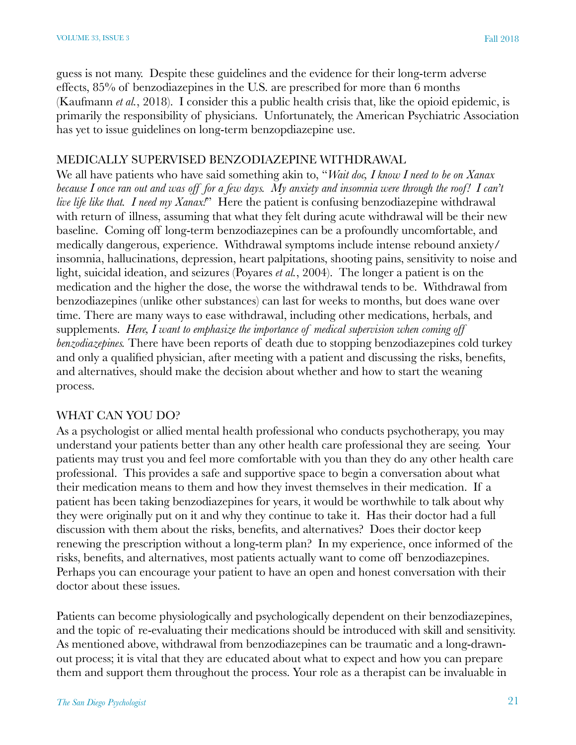guess is not many. Despite these guidelines and the evidence for their long-term adverse effects, 85% of benzodiazepines in the U.S. are prescribed for more than 6 months (Kaufmann *et al.*, 2018). I consider this a public health crisis that, like the opioid epidemic, is primarily the responsibility of physicians. Unfortunately, the American Psychiatric Association has yet to issue guidelines on long-term benzopdiazepine use.

#### MEDICALLY SUPERVISED BENZODIAZEPINE WITHDRAWAL

We all have patients who have said something akin to, "*Wait doc, I know I need to be on Xanax because I once ran out and was off for a few days. My anxiety and insomnia were through the roof! I can't live life like that. I need my Xanax!*" Here the patient is confusing benzodiazepine withdrawal with return of illness, assuming that what they felt during acute withdrawal will be their new baseline. Coming off long-term benzodiazepines can be a profoundly uncomfortable, and medically dangerous, experience. Withdrawal symptoms include intense rebound anxiety/ insomnia, hallucinations, depression, heart palpitations, shooting pains, sensitivity to noise and light, suicidal ideation, and seizures (Poyares *et al.*, 2004). The longer a patient is on the medication and the higher the dose, the worse the withdrawal tends to be. Withdrawal from benzodiazepines (unlike other substances) can last for weeks to months, but does wane over time. There are many ways to ease withdrawal, including other medications, herbals, and supplements. *Here, I want to emphasize the importance of medical supervision when coming off benzodiazepines.* There have been reports of death due to stopping benzodiazepines cold turkey and only a qualified physician, after meeting with a patient and discussing the risks, benefits, and alternatives, should make the decision about whether and how to start the weaning process.

#### WHAT CAN YOU DO?

As a psychologist or allied mental health professional who conducts psychotherapy, you may understand your patients better than any other health care professional they are seeing. Your patients may trust you and feel more comfortable with you than they do any other health care professional. This provides a safe and supportive space to begin a conversation about what their medication means to them and how they invest themselves in their medication. If a patient has been taking benzodiazepines for years, it would be worthwhile to talk about why they were originally put on it and why they continue to take it. Has their doctor had a full discussion with them about the risks, benefits, and alternatives? Does their doctor keep renewing the prescription without a long-term plan? In my experience, once informed of the risks, benefits, and alternatives, most patients actually want to come off benzodiazepines. Perhaps you can encourage your patient to have an open and honest conversation with their doctor about these issues.

Patients can become physiologically and psychologically dependent on their benzodiazepines, and the topic of re-evaluating their medications should be introduced with skill and sensitivity. As mentioned above, withdrawal from benzodiazepines can be traumatic and a long-drawnout process; it is vital that they are educated about what to expect and how you can prepare them and support them throughout the process. Your role as a therapist can be invaluable in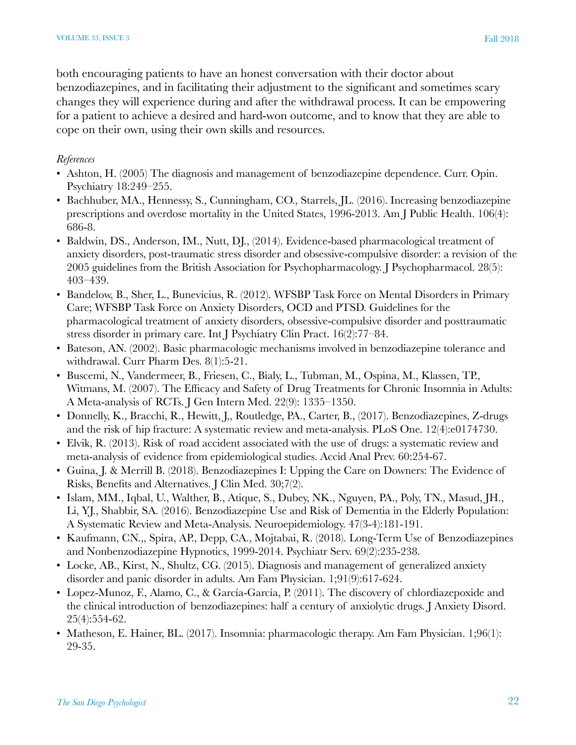both encouraging patients to have an honest conversation with their doctor about benzodiazepines, and in facilitating their adjustment to the significant and sometimes scary changes they will experience during and after the withdrawal process. It can be empowering for a patient to achieve a desired and hard-won outcome, and to know that they are able to cope on their own, using their own skills and resources.

#### *References*

- Ashton, H. (2005) The diagnosis and management of benzodiazepine dependence. Curr. Opin. Psychiatry 18:249–255.
- Bachhuber, MA., Hennessy, S., Cunningham, CO., Starrels, JL. (2016). Increasing benzodiazepine prescriptions and overdose mortality in the United States, 1996-2013. Am J Public Health. 106(4): 686-8.
- Baldwin, DS., Anderson, IM., Nutt, DJ., (2014). Evidence-based pharmacological treatment of anxiety disorders, post-traumatic stress disorder and obsessive-compulsive disorder: a revision of the 2005 guidelines from the British Association for Psychopharmacology. J Psychopharmacol. 28(5): 403–439.
- Bandelow, B., Sher, L., Bunevicius, R. (2012). WFSBP Task Force on Mental Disorders in Primary Care; WFSBP Task Force on Anxiety Disorders, OCD and PTSD. Guidelines for the pharmacological treatment of anxiety disorders, obsessive-compulsive disorder and posttraumatic stress disorder in primary care. Int J Psychiatry Clin Pract. 16(2):77–84.
- Bateson, AN. (2002). Basic pharmacologic mechanisms involved in benzodiazepine tolerance and withdrawal. Curr Pharm Des. 8(1):5-21.
- Buscemi, N., Vandermeer, B., Friesen, C., Bialy, L., Tubman, M., Ospina, M., Klassen, TP., Witmans, M. (2007). The Efficacy and Safety of Drug Treatments for Chronic Insomnia in Adults: A Meta-analysis of RCTs. J Gen Intern Med. 22(9): 1335–1350.
- Donnelly, K., Bracchi, R., Hewitt, J,, Routledge, PA., Carter, B., (2017). Benzodiazepines, Z-drugs and the risk of hip fracture: A systematic review and meta-analysis. PLoS One. 12(4):e0174730.
- Elvik, R. (2013). Risk of road accident associated with the use of drugs: a systematic review and meta-analysis of evidence from epidemiological studies. Accid Anal Prev. 60:254-67.
- Guina, J. & Merrill B. (2018). Benzodiazepines I: Upping the Care on Downers: The Evidence of Risks, Benefits and Alternatives. J Clin Med. 30;7(2).
- Islam, MM., Iqbal, U., Walther, B., Atique, S., Dubey, NK., Nguyen, PA., Poly, TN., Masud, JH., Li, YJ., Shabbir, SA. (2016). Benzodiazepine Use and Risk of Dementia in the Elderly Population: A Systematic Review and Meta-Analysis. Neuroepidemiology. 47(3-4):181-191.
- Kaufmann, CN.,, Spira, AP., Depp, CA., Mojtabai, R. (2018). Long-Term Use of Benzodiazepines and Nonbenzodiazepine Hypnotics, 1999-2014. Psychiatr Serv. 69(2):235-238.
- Locke, AB., Kirst, N., Shultz, CG. (2015). Diagnosis and management of generalized anxiety disorder and panic disorder in adults. Am Fam Physician. 1;91(9):617-624.
- Lopez-Munoz, F., Alamo, C., & García-García, P. (2011). The discovery of chlordiazepoxide and the clinical introduction of benzodiazepines: half a century of anxiolytic drugs. J Anxiety Disord. 25(4):554-62.
- Matheson, E. Hainer, BL. (2017). Insomnia: pharmacologic therapy. Am Fam Physician. 1;96(1): 29-35.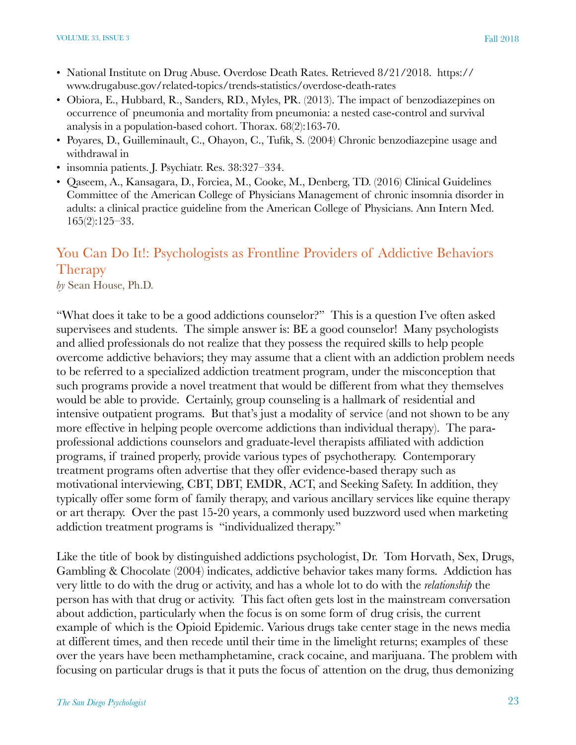- National Institute on Drug Abuse. Overdose Death Rates. Retrieved 8/21/2018. https:// www.drugabuse.gov/related-topics/trends-statistics/overdose-death-rates
- Obiora, E., Hubbard, R., Sanders, RD., Myles, PR. (2013). The impact of benzodiazepines on occurrence of pneumonia and mortality from pneumonia: a nested case-control and survival analysis in a population-based cohort. Thorax. 68(2):163-70.
- Poyares, D., Guilleminault, C., Ohayon, C., Tufik, S. (2004) Chronic benzodiazepine usage and withdrawal in
- insomnia patients. J. Psychiatr. Res. 38:327–334.
- Qaseem, A., Kansagara, D., Forciea, M., Cooke, M., Denberg, TD. (2016) Clinical Guidelines Committee of the American College of Physicians Management of chronic insomnia disorder in adults: a clinical practice guideline from the American College of Physicians. Ann Intern Med. 165(2):125–33.

# You Can Do It!: Psychologists as Frontline Providers of Addictive Behaviors Therapy

*by* Sean House, Ph.D.

"What does it take to be a good addictions counselor?" This is a question I've often asked supervisees and students. The simple answer is: BE a good counselor! Many psychologists and allied professionals do not realize that they possess the required skills to help people overcome addictive behaviors; they may assume that a client with an addiction problem needs to be referred to a specialized addiction treatment program, under the misconception that such programs provide a novel treatment that would be different from what they themselves would be able to provide. Certainly, group counseling is a hallmark of residential and intensive outpatient programs. But that's just a modality of service (and not shown to be any more effective in helping people overcome addictions than individual therapy). The paraprofessional addictions counselors and graduate-level therapists affiliated with addiction programs, if trained properly, provide various types of psychotherapy. Contemporary treatment programs often advertise that they offer evidence-based therapy such as motivational interviewing, CBT, DBT, EMDR, ACT, and Seeking Safety. In addition, they typically offer some form of family therapy, and various ancillary services like equine therapy or art therapy. Over the past 15-20 years, a commonly used buzzword used when marketing addiction treatment programs is "individualized therapy."

Like the title of book by distinguished addictions psychologist, Dr. Tom Horvath, Sex, Drugs, Gambling & Chocolate (2004) indicates, addictive behavior takes many forms. Addiction has very little to do with the drug or activity, and has a whole lot to do with the *relationship* the person has with that drug or activity. This fact often gets lost in the mainstream conversation about addiction, particularly when the focus is on some form of drug crisis, the current example of which is the Opioid Epidemic. Various drugs take center stage in the news media at different times, and then recede until their time in the limelight returns; examples of these over the years have been methamphetamine, crack cocaine, and marijuana. The problem with focusing on particular drugs is that it puts the focus of attention on the drug, thus demonizing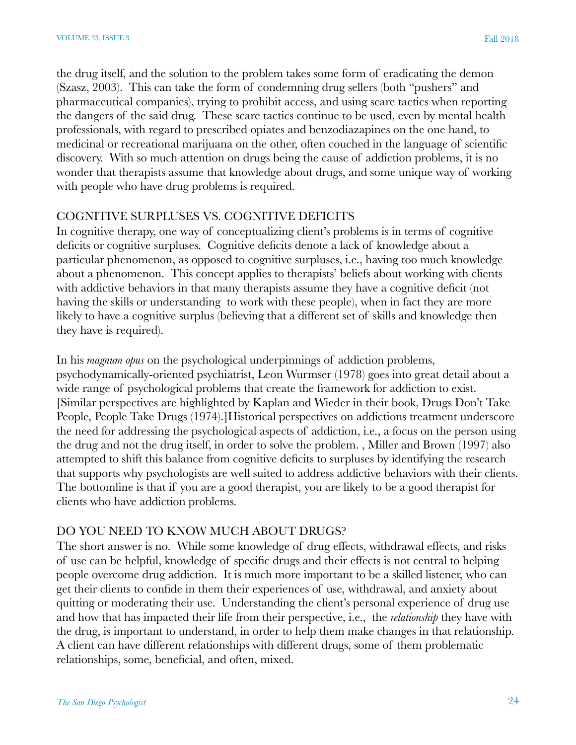the drug itself, and the solution to the problem takes some form of eradicating the demon (Szasz, 2003). This can take the form of condemning drug sellers (both "pushers" and pharmaceutical companies), trying to prohibit access, and using scare tactics when reporting the dangers of the said drug. These scare tactics continue to be used, even by mental health professionals, with regard to prescribed opiates and benzodiazapines on the one hand, to medicinal or recreational marijuana on the other, often couched in the language of scientific discovery. With so much attention on drugs being the cause of addiction problems, it is no wonder that therapists assume that knowledge about drugs, and some unique way of working with people who have drug problems is required.

#### COGNITIVE SURPLUSES VS. COGNITIVE DEFICITS

In cognitive therapy, one way of conceptualizing client's problems is in terms of cognitive deficits or cognitive surpluses. Cognitive deficits denote a lack of knowledge about a particular phenomenon, as opposed to cognitive surpluses, i.e., having too much knowledge about a phenomenon. This concept applies to therapists' beliefs about working with clients with addictive behaviors in that many therapists assume they have a cognitive deficit (not having the skills or understanding to work with these people), when in fact they are more likely to have a cognitive surplus (believing that a different set of skills and knowledge then they have is required).

In his *magnum opus* on the psychological underpinnings of addiction problems, psychodynamically-oriented psychiatrist, Leon Wurmser (1978) goes into great detail about a wide range of psychological problems that create the framework for addiction to exist. [Similar perspectives are highlighted by Kaplan and Wieder in their book, Drugs Don't Take People, People Take Drugs (1974).]Historical perspectives on addictions treatment underscore the need for addressing the psychological aspects of addiction, i.e., a focus on the person using the drug and not the drug itself, in order to solve the problem. , Miller and Brown (1997) also attempted to shift this balance from cognitive deficits to surpluses by identifying the research that supports why psychologists are well suited to address addictive behaviors with their clients. The bottomline is that if you are a good therapist, you are likely to be a good therapist for clients who have addiction problems.

#### DO YOU NEED TO KNOW MUCH ABOUT DRUGS?

The short answer is no. While some knowledge of drug effects, withdrawal effects, and risks of use can be helpful, knowledge of specific drugs and their effects is not central to helping people overcome drug addiction. It is much more important to be a skilled listener, who can get their clients to confide in them their experiences of use, withdrawal, and anxiety about quitting or moderating their use. Understanding the client's personal experience of drug use and how that has impacted their life from their perspective, i.e., the *relationship* they have with the drug, is important to understand, in order to help them make changes in that relationship. A client can have different relationships with different drugs, some of them problematic relationships, some, beneficial, and often, mixed.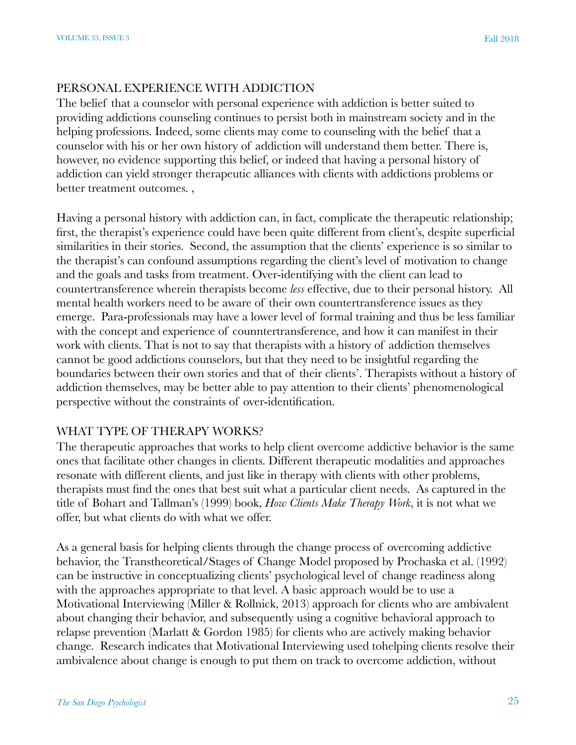#### PERSONAL EXPERIENCE WITH ADDICTION

The belief that a counselor with personal experience with addiction is better suited to providing addictions counseling continues to persist both in mainstream society and in the helping professions. Indeed, some clients may come to counseling with the belief that a counselor with his or her own history of addiction will understand them better. There is, however, no evidence supporting this belief, or indeed that having a personal history of addiction can yield stronger therapeutic alliances with clients with addictions problems or better treatment outcomes. ,

Having a personal history with addiction can, in fact, complicate the therapeutic relationship; first, the therapist's experience could have been quite different from client's, despite superficial similarities in their stories. Second, the assumption that the clients' experience is so similar to the therapist's can confound assumptions regarding the client's level of motivation to change and the goals and tasks from treatment. Over-identifying with the client can lead to countertransference wherein therapists become *less* effective, due to their personal history. All mental health workers need to be aware of their own countertransference issues as they emerge. Para-professionals may have a lower level of formal training and thus be less familiar with the concept and experience of counntertransference, and how it can manifest in their work with clients. That is not to say that therapists with a history of addiction themselves cannot be good addictions counselors, but that they need to be insightful regarding the boundaries between their own stories and that of their clients'. Therapists without a history of addiction themselves, may be better able to pay attention to their clients' phenomenological perspective without the constraints of over-identification.

#### WHAT TYPE OF THERAPY WORKS?

The therapeutic approaches that works to help client overcome addictive behavior is the same ones that facilitate other changes in clients. Different therapeutic modalities and approaches resonate with different clients, and just like in therapy with clients with other problems, therapists must find the ones that best suit what a particular client needs. As captured in the title of Bohart and Tallman's (1999) book, *How Clients Make Therapy Work*, it is not what we offer, but what clients do with what we offer.

As a general basis for helping clients through the change process of overcoming addictive behavior, the Transtheoretical/Stages of Change Model proposed by Prochaska et al. (1992) can be instructive in conceptualizing clients' psychological level of change readiness along with the approaches appropriate to that level. A basic approach would be to use a Motivational Interviewing (Miller & Rollnick, 2013) approach for clients who are ambivalent about changing their behavior, and subsequently using a cognitive behavioral approach to relapse prevention (Marlatt & Gordon 1985) for clients who are actively making behavior change. Research indicates that Motivational Interviewing used tohelping clients resolve their ambivalence about change is enough to put them on track to overcome addiction, without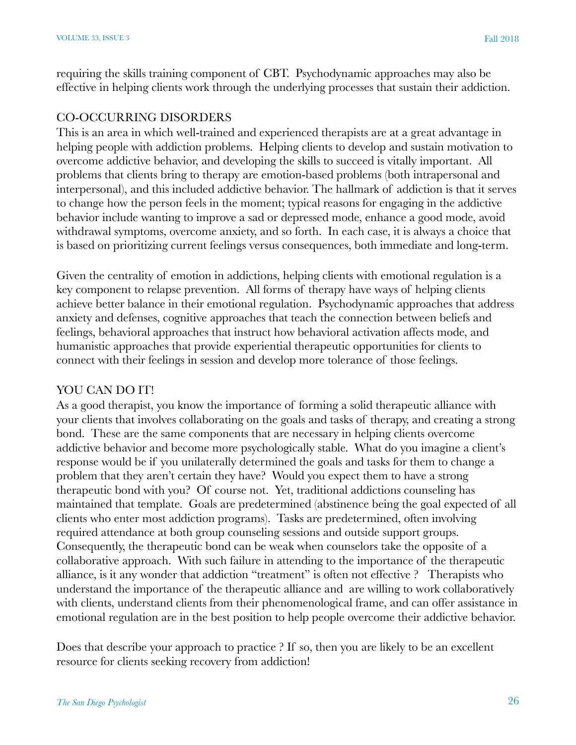requiring the skills training component of CBT. Psychodynamic approaches may also be effective in helping clients work through the underlying processes that sustain their addiction.

#### CO-OCCURRING DISORDERS

This is an area in which well-trained and experienced therapists are at a great advantage in helping people with addiction problems. Helping clients to develop and sustain motivation to overcome addictive behavior, and developing the skills to succeed is vitally important. All problems that clients bring to therapy are emotion-based problems (both intrapersonal and interpersonal), and this included addictive behavior. The hallmark of addiction is that it serves to change how the person feels in the moment; typical reasons for engaging in the addictive behavior include wanting to improve a sad or depressed mode, enhance a good mode, avoid withdrawal symptoms, overcome anxiety, and so forth. In each case, it is always a choice that is based on prioritizing current feelings versus consequences, both immediate and long-term.

Given the centrality of emotion in addictions, helping clients with emotional regulation is a key component to relapse prevention. All forms of therapy have ways of helping clients achieve better balance in their emotional regulation. Psychodynamic approaches that address anxiety and defenses, cognitive approaches that teach the connection between beliefs and feelings, behavioral approaches that instruct how behavioral activation affects mode, and humanistic approaches that provide experiential therapeutic opportunities for clients to connect with their feelings in session and develop more tolerance of those feelings.

#### YOU CAN DO IT!

As a good therapist, you know the importance of forming a solid therapeutic alliance with your clients that involves collaborating on the goals and tasks of therapy, and creating a strong bond. These are the same components that are necessary in helping clients overcome addictive behavior and become more psychologically stable. What do you imagine a client's response would be if you unilaterally determined the goals and tasks for them to change a problem that they aren't certain they have? Would you expect them to have a strong therapeutic bond with you? Of course not. Yet, traditional addictions counseling has maintained that template. Goals are predetermined (abstinence being the goal expected of all clients who enter most addiction programs). Tasks are predetermined, often involving required attendance at both group counseling sessions and outside support groups. Consequently, the therapeutic bond can be weak when counselors take the opposite of a collaborative approach. With such failure in attending to the importance of the therapeutic alliance, is it any wonder that addiction "treatment" is often not effective ? Therapists who understand the importance of the therapeutic alliance and are willing to work collaboratively with clients, understand clients from their phenomenological frame, and can offer assistance in emotional regulation are in the best position to help people overcome their addictive behavior.

Does that describe your approach to practice ? If so, then you are likely to be an excellent resource for clients seeking recovery from addiction!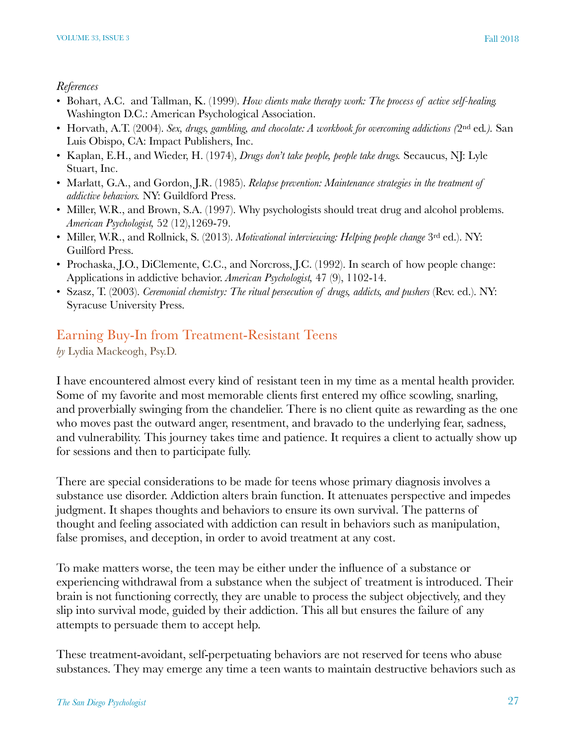#### *References*

- Bohart, A.C. and Tallman, K. (1999). *How clients make therapy work: The process of active self-healing.* Washington D.C.: American Psychological Association.
- Horvath, A.T. (2004). *Sex, drugs, gambling, and chocolate: A workbook for overcoming addictions (*2nd ed*.).* San Luis Obispo, CA: Impact Publishers, Inc.
- Kaplan, E.H., and Wieder, H. (1974), *Drugs don't take people, people take drugs.* Secaucus, NJ: Lyle Stuart, Inc.
- Marlatt, G.A., and Gordon, J.R. (1985). *Relapse prevention: Maintenance strategies in the treatment of addictive behaviors.* NY: Guildford Press.
- Miller, W.R., and Brown, S.A. (1997). Why psychologists should treat drug and alcohol problems. *American Psychologist,* 52 (12),1269-79.
- Miller, W.R., and Rollnick, S. (2013). *Motivational interviewing: Helping people change* 3rd ed.). NY: Guilford Press.
- Prochaska, J.O., DiClemente, C.C., and Norcross, J.C. (1992). In search of how people change: Applications in addictive behavior. *American Psychologist,* 47 (9), 1102-14.
- Szasz, T. (2003). *Ceremonial chemistry: The ritual persecution of drugs, addicts, and pushers* (Rev. ed.). NY: Syracuse University Press.

# Earning Buy-In from Treatment-Resistant Teens

*by* Lydia Mackeogh, Psy.D.

I have encountered almost every kind of resistant teen in my time as a mental health provider. Some of my favorite and most memorable clients first entered my office scowling, snarling, and proverbially swinging from the chandelier. There is no client quite as rewarding as the one who moves past the outward anger, resentment, and bravado to the underlying fear, sadness, and vulnerability. This journey takes time and patience. It requires a client to actually show up for sessions and then to participate fully.

There are special considerations to be made for teens whose primary diagnosis involves a substance use disorder. Addiction alters brain function. It attenuates perspective and impedes judgment. It shapes thoughts and behaviors to ensure its own survival. The patterns of thought and feeling associated with addiction can result in behaviors such as manipulation, false promises, and deception, in order to avoid treatment at any cost.

To make matters worse, the teen may be either under the influence of a substance or experiencing withdrawal from a substance when the subject of treatment is introduced. Their brain is not functioning correctly, they are unable to process the subject objectively, and they slip into survival mode, guided by their addiction. This all but ensures the failure of any attempts to persuade them to accept help.

These treatment-avoidant, self-perpetuating behaviors are not reserved for teens who abuse substances. They may emerge any time a teen wants to maintain destructive behaviors such as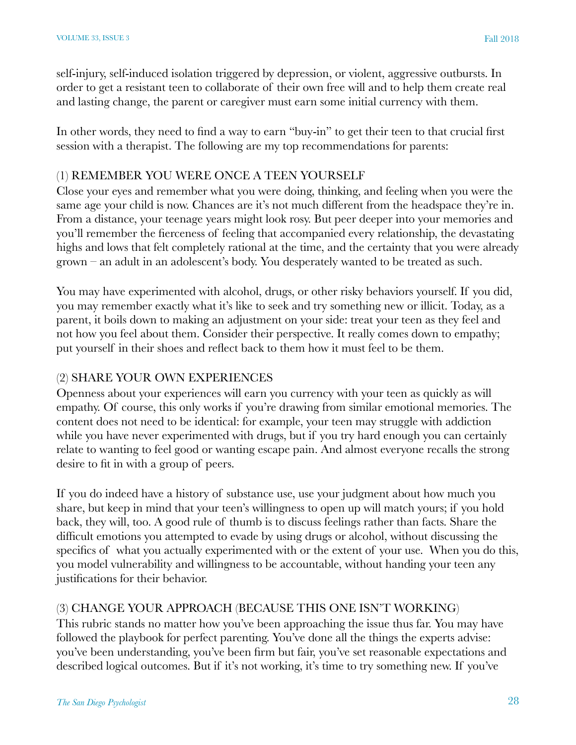self-injury, self-induced isolation triggered by depression, or violent, aggressive outbursts. In order to get a resistant teen to collaborate of their own free will and to help them create real and lasting change, the parent or caregiver must earn some initial currency with them.

In other words, they need to find a way to earn "buy-in" to get their teen to that crucial first session with a therapist. The following are my top recommendations for parents:

#### (1) REMEMBER YOU WERE ONCE A TEEN YOURSELF

Close your eyes and remember what you were doing, thinking, and feeling when you were the same age your child is now. Chances are it's not much different from the headspace they're in. From a distance, your teenage years might look rosy. But peer deeper into your memories and you'll remember the fierceness of feeling that accompanied every relationship, the devastating highs and lows that felt completely rational at the time, and the certainty that you were already grown – an adult in an adolescent's body. You desperately wanted to be treated as such.

You may have experimented with alcohol, drugs, or other risky behaviors yourself. If you did, you may remember exactly what it's like to seek and try something new or illicit. Today, as a parent, it boils down to making an adjustment on your side: treat your teen as they feel and not how you feel about them. Consider their perspective. It really comes down to empathy; put yourself in their shoes and reflect back to them how it must feel to be them.

#### (2) SHARE YOUR OWN EXPERIENCES

Openness about your experiences will earn you currency with your teen as quickly as will empathy. Of course, this only works if you're drawing from similar emotional memories. The content does not need to be identical: for example, your teen may struggle with addiction while you have never experimented with drugs, but if you try hard enough you can certainly relate to wanting to feel good or wanting escape pain. And almost everyone recalls the strong desire to fit in with a group of peers.

If you do indeed have a history of substance use, use your judgment about how much you share, but keep in mind that your teen's willingness to open up will match yours; if you hold back, they will, too. A good rule of thumb is to discuss feelings rather than facts. Share the difficult emotions you attempted to evade by using drugs or alcohol, without discussing the specifics of what you actually experimented with or the extent of your use. When you do this, you model vulnerability and willingness to be accountable, without handing your teen any justifications for their behavior.

#### (3) CHANGE YOUR APPROACH (BECAUSE THIS ONE ISN'T WORKING)

This rubric stands no matter how you've been approaching the issue thus far. You may have followed the playbook for perfect parenting. You've done all the things the experts advise: you've been understanding, you've been firm but fair, you've set reasonable expectations and described logical outcomes. But if it's not working, it's time to try something new. If you've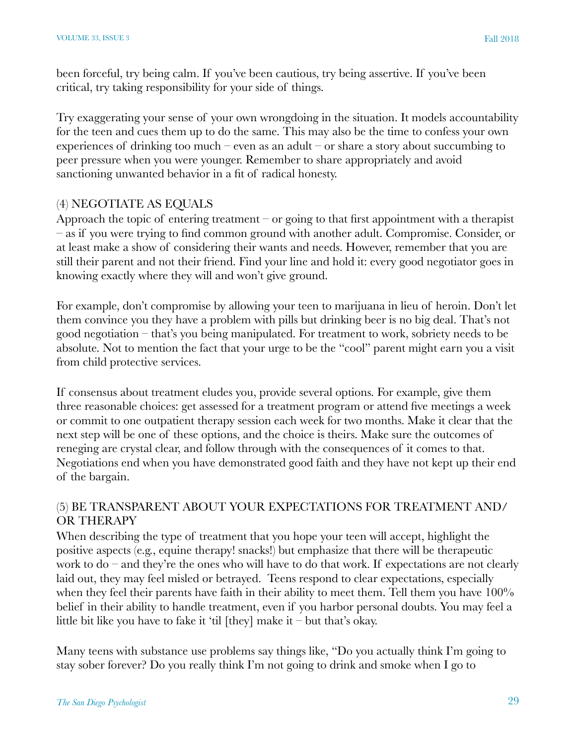been forceful, try being calm. If you've been cautious, try being assertive. If you've been critical, try taking responsibility for your side of things.

Try exaggerating your sense of your own wrongdoing in the situation. It models accountability for the teen and cues them up to do the same. This may also be the time to confess your own experiences of drinking too much – even as an adult – or share a story about succumbing to peer pressure when you were younger. Remember to share appropriately and avoid sanctioning unwanted behavior in a fit of radical honesty.

#### (4) NEGOTIATE AS EQUALS

Approach the topic of entering treatment – or going to that first appointment with a therapist – as if you were trying to find common ground with another adult. Compromise. Consider, or at least make a show of considering their wants and needs. However, remember that you are still their parent and not their friend. Find your line and hold it: every good negotiator goes in knowing exactly where they will and won't give ground.

For example, don't compromise by allowing your teen to marijuana in lieu of heroin. Don't let them convince you they have a problem with pills but drinking beer is no big deal. That's not good negotiation – that's you being manipulated. For treatment to work, sobriety needs to be absolute. Not to mention the fact that your urge to be the "cool" parent might earn you a visit from child protective services.

If consensus about treatment eludes you, provide several options. For example, give them three reasonable choices: get assessed for a treatment program or attend five meetings a week or commit to one outpatient therapy session each week for two months. Make it clear that the next step will be one of these options, and the choice is theirs. Make sure the outcomes of reneging are crystal clear, and follow through with the consequences of it comes to that. Negotiations end when you have demonstrated good faith and they have not kept up their end of the bargain.

#### (5) BE TRANSPARENT ABOUT YOUR EXPECTATIONS FOR TREATMENT AND/ OR THERAPY

When describing the type of treatment that you hope your teen will accept, highlight the positive aspects (e.g., equine therapy! snacks!) but emphasize that there will be therapeutic work to do – and they're the ones who will have to do that work. If expectations are not clearly laid out, they may feel misled or betrayed. Teens respond to clear expectations, especially when they feel their parents have faith in their ability to meet them. Tell them you have 100% belief in their ability to handle treatment, even if you harbor personal doubts. You may feel a little bit like you have to fake it 'til [they] make it – but that's okay.

Many teens with substance use problems say things like, "Do you actually think I'm going to stay sober forever? Do you really think I'm not going to drink and smoke when I go to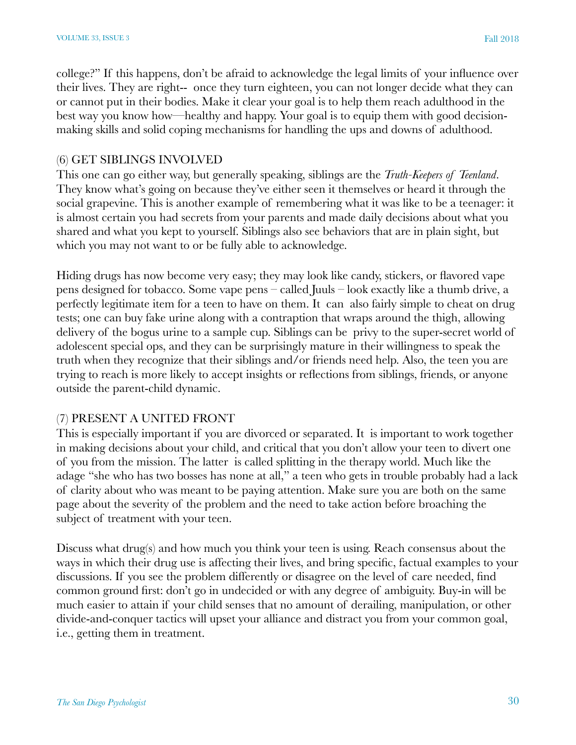college?" If this happens, don't be afraid to acknowledge the legal limits of your influence over their lives. They are right-- once they turn eighteen, you can not longer decide what they can or cannot put in their bodies. Make it clear your goal is to help them reach adulthood in the best way you know how—healthy and happy. Your goal is to equip them with good decisionmaking skills and solid coping mechanisms for handling the ups and downs of adulthood.

#### (6) GET SIBLINGS INVOLVED

This one can go either way, but generally speaking, siblings are the *Truth-Keepers of Teenland*. They know what's going on because they've either seen it themselves or heard it through the social grapevine. This is another example of remembering what it was like to be a teenager: it is almost certain you had secrets from your parents and made daily decisions about what you shared and what you kept to yourself. Siblings also see behaviors that are in plain sight, but which you may not want to or be fully able to acknowledge.

Hiding drugs has now become very easy; they may look like candy, stickers, or flavored vape pens designed for tobacco. Some vape pens – called Juuls – look exactly like a thumb drive, a perfectly legitimate item for a teen to have on them. It can also fairly simple to cheat on drug tests; one can buy fake urine along with a contraption that wraps around the thigh, allowing delivery of the bogus urine to a sample cup. Siblings can be privy to the super-secret world of adolescent special ops, and they can be surprisingly mature in their willingness to speak the truth when they recognize that their siblings and/or friends need help. Also, the teen you are trying to reach is more likely to accept insights or reflections from siblings, friends, or anyone outside the parent-child dynamic.

#### (7) PRESENT A UNITED FRONT

This is especially important if you are divorced or separated. It is important to work together in making decisions about your child, and critical that you don't allow your teen to divert one of you from the mission. The latter is called splitting in the therapy world. Much like the adage "she who has two bosses has none at all," a teen who gets in trouble probably had a lack of clarity about who was meant to be paying attention. Make sure you are both on the same page about the severity of the problem and the need to take action before broaching the subject of treatment with your teen.

Discuss what drug(s) and how much you think your teen is using. Reach consensus about the ways in which their drug use is affecting their lives, and bring specific, factual examples to your discussions. If you see the problem differently or disagree on the level of care needed, find common ground first: don't go in undecided or with any degree of ambiguity. Buy-in will be much easier to attain if your child senses that no amount of derailing, manipulation, or other divide-and-conquer tactics will upset your alliance and distract you from your common goal, i.e., getting them in treatment.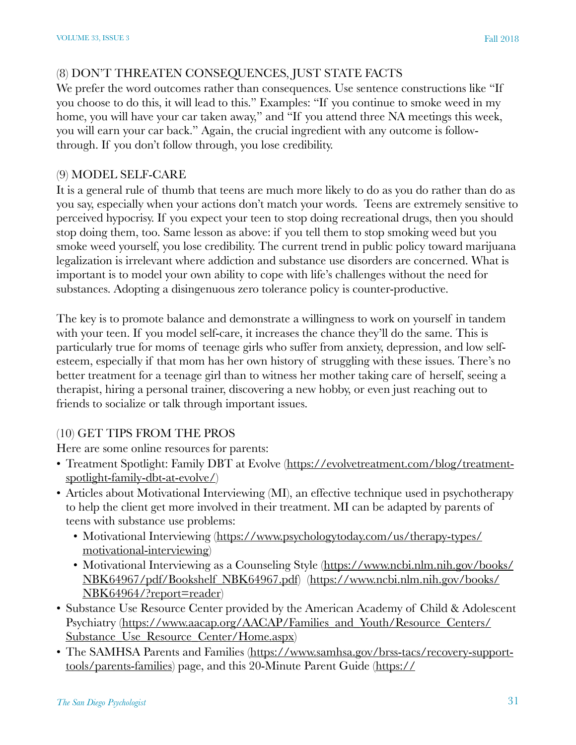#### (8) DON'T THREATEN CONSEQUENCES, JUST STATE FACTS

We prefer the word outcomes rather than consequences. Use sentence constructions like "If you choose to do this, it will lead to this." Examples: "If you continue to smoke weed in my home, you will have your car taken away," and "If you attend three NA meetings this week, you will earn your car back." Again, the crucial ingredient with any outcome is followthrough. If you don't follow through, you lose credibility.

#### (9) MODEL SELF-CARE

It is a general rule of thumb that teens are much more likely to do as you do rather than do as you say, especially when your actions don't match your words. Teens are extremely sensitive to perceived hypocrisy. If you expect your teen to stop doing recreational drugs, then you should stop doing them, too. Same lesson as above: if you tell them to stop smoking weed but you smoke weed yourself, you lose credibility. The current trend in public policy toward marijuana legalization is irrelevant where addiction and substance use disorders are concerned. What is important is to model your own ability to cope with life's challenges without the need for substances. Adopting a disingenuous zero tolerance policy is counter-productive.

The key is to promote balance and demonstrate a willingness to work on yourself in tandem with your teen. If you model self-care, it increases the chance they'll do the same. This is particularly true for moms of teenage girls who suffer from anxiety, depression, and low selfesteem, especially if that mom has her own history of struggling with these issues. There's no better treatment for a teenage girl than to witness her mother taking care of herself, seeing a therapist, hiring a personal trainer, discovering a new hobby, or even just reaching out to friends to socialize or talk through important issues.

## (10) GET TIPS FROM THE PROS

Here are some online resources for parents:

- [Treatment Spotlight: Family DBT at Evolve](https://evolvetreatment.com/blog/treatment-spotlight-family-dbt-at-evolve/) ([https://evolvetreatment.com/blog/treatment](https://evolvetreatment.com/blog/treatment-spotlight-family-dbt-at-evolve/)[spotlight-family-dbt-at-evolve/](https://evolvetreatment.com/blog/treatment-spotlight-family-dbt-at-evolve/))
- Articles about Motivational Interviewing (MI), an effective technique used in psychotherapy to help the client get more involved in their treatment. MI can be adapted by parents of teens with substance use problems:
	- [Motivational Interviewing \(https://www.psychologytoday.com/us/therapy-types/](https://www.psychologytoday.com/us/therapy-types/motivational-interviewing) [motivational-interviewing\)](https://www.psychologytoday.com/us/therapy-types/motivational-interviewing)
	- [Motivational Interviewing as a Counseling Style](https://www.ncbi.nlm.nih.gov/books/NBK64964/?report=reader) [\(https://www.ncbi.nlm.nih.gov/books/](https://www.ncbi.nlm.nih.gov/books/NBK64967/pdf/Bookshelf_NBK64967.pdf) [NBK64967/pdf/Bookshelf\\_NBK64967.pdf](https://www.ncbi.nlm.nih.gov/books/NBK64967/pdf/Bookshelf_NBK64967.pdf)) [\(https://www.ncbi.nlm.nih.gov/books/](https://www.ncbi.nlm.nih.gov/books/NBK64964/?report=reader) [NBK64964/?report=reader\)](https://www.ncbi.nlm.nih.gov/books/NBK64964/?report=reader)
- [Substance Use Resource Center](https://www.aacap.org/AACAP/Families_and_Youth/Resource_Centers/Substance_Use_Resource_Center/Home.aspx) provided by the American Academy of Child & Adolescent Psychiatry ([https://www.aacap.org/AACAP/Families\\_and\\_Youth/Resource\\_Centers/](https://www.aacap.org/AACAP/Families_and_Youth/Resource_Centers/Substance_Use_Resource_Center/Home.aspx) Substance Use Resource Center/Home.aspx)
- The SAMHSA [Parents and Families](https://www.samhsa.gov/brss-tacs/recovery-support-tools/parents-families) [\(https://www.samhsa.gov/brss-tacs/recovery-support](https://www.samhsa.gov/brss-tacs/recovery-support-tools/parents-families)[tools/parents-families\)](https://www.samhsa.gov/brss-tacs/recovery-support-tools/parents-families) page, and this 20-Minute [Parent Guide](https://the20minuteguide.com/parents/introduction-guide/) [\(https://](https://the20minuteguide.com/parents/introduction-guide/)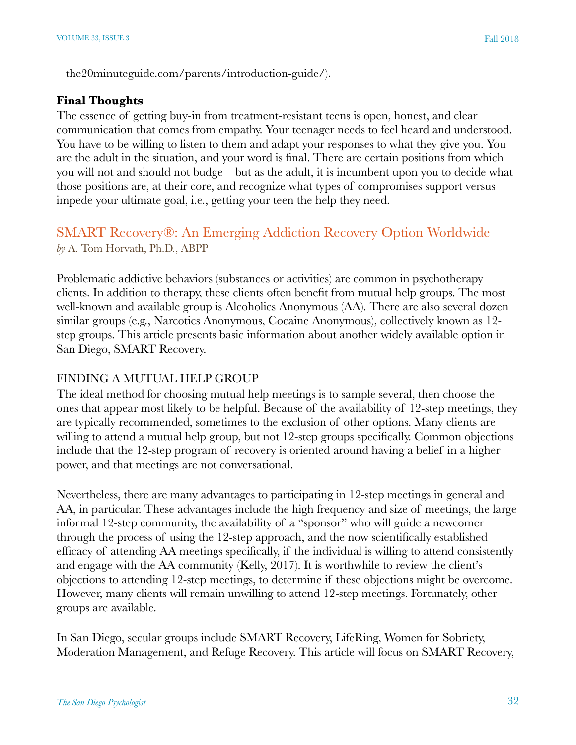#### [the20minuteguide.com/parents/introduction-guide/](https://the20minuteguide.com/parents/introduction-guide/)).

#### **Final Thoughts**

The essence of getting buy-in from treatment-resistant teens is open, honest, and clear communication that comes from empathy. Your teenager needs to feel heard and understood. You have to be willing to listen to them and adapt your responses to what they give you. You are the adult in the situation, and your word is final. There are certain positions from which you will not and should not budge – but as the adult, it is incumbent upon you to decide what those positions are, at their core, and recognize what types of compromises support versus impede your ultimate goal, i.e., getting your teen the help they need.

# SMART Recovery®: An Emerging Addiction Recovery Option Worldwide *by* A. Tom Horvath, Ph.D., ABPP

Problematic addictive behaviors (substances or activities) are common in psychotherapy clients. In addition to therapy, these clients often benefit from mutual help groups. The most well-known and available group is Alcoholics Anonymous (AA). There are also several dozen similar groups (e.g., Narcotics Anonymous, Cocaine Anonymous), collectively known as 12 step groups. This article presents basic information about another widely available option in San Diego, SMART Recovery.

#### FINDING A MUTUAL HELP GROUP

The ideal method for choosing mutual help meetings is to sample several, then choose the ones that appear most likely to be helpful. Because of the availability of 12-step meetings, they are typically recommended, sometimes to the exclusion of other options. Many clients are willing to attend a mutual help group, but not 12-step groups specifically. Common objections include that the 12-step program of recovery is oriented around having a belief in a higher power, and that meetings are not conversational.

Nevertheless, there are many advantages to participating in 12-step meetings in general and AA, in particular. These advantages include the high frequency and size of meetings, the large informal 12-step community, the availability of a "sponsor" who will guide a newcomer through the process of using the 12-step approach, and the now scientifically established efficacy of attending AA meetings specifically, if the individual is willing to attend consistently and engage with the AA community (Kelly, 2017). It is worthwhile to review the client's objections to attending 12-step meetings, to determine if these objections might be overcome. However, many clients will remain unwilling to attend 12-step meetings. Fortunately, other groups are available.

In San Diego, secular groups include SMART Recovery, LifeRing, Women for Sobriety, Moderation Management, and Refuge Recovery. This article will focus on SMART Recovery,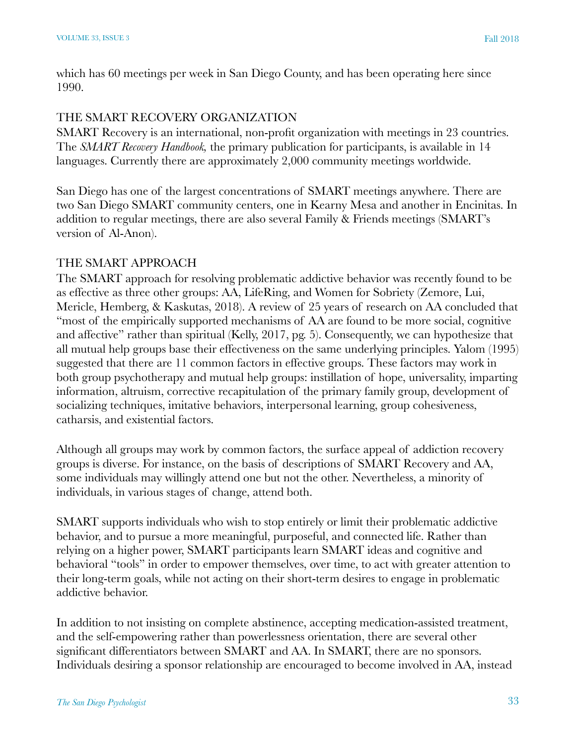which has 60 meetings per week in San Diego County, and has been operating here since 1990.

#### THE SMART RECOVERY ORGANIZATION

SMART Recovery is an international, non-profit organization with meetings in 23 countries. The *SMART Recovery Handbook,* the primary publication for participants, is available in 14 languages. Currently there are approximately 2,000 community meetings worldwide.

San Diego has one of the largest concentrations of SMART meetings anywhere. There are two San Diego SMART community centers, one in Kearny Mesa and another in Encinitas. In addition to regular meetings, there are also several Family & Friends meetings (SMART's version of Al-Anon).

#### THE SMART APPROACH

The SMART approach for resolving problematic addictive behavior was recently found to be as effective as three other groups: AA, LifeRing, and Women for Sobriety (Zemore, Lui, Mericle, Hemberg, & Kaskutas, 2018). A review of 25 years of research on AA concluded that "most of the empirically supported mechanisms of AA are found to be more social, cognitive and affective" rather than spiritual (Kelly, 2017, pg. 5). Consequently, we can hypothesize that all mutual help groups base their effectiveness on the same underlying principles. Yalom (1995) suggested that there are 11 common factors in effective groups. These factors may work in both group psychotherapy and mutual help groups: instillation of hope, universality, imparting information, altruism, corrective recapitulation of the primary family group, development of socializing techniques, imitative behaviors, interpersonal learning, group cohesiveness, catharsis, and existential factors.

Although all groups may work by common factors, the surface appeal of addiction recovery groups is diverse. For instance, on the basis of descriptions of SMART Recovery and AA, some individuals may willingly attend one but not the other. Nevertheless, a minority of individuals, in various stages of change, attend both.

SMART supports individuals who wish to stop entirely or limit their problematic addictive behavior, and to pursue a more meaningful, purposeful, and connected life. Rather than relying on a higher power, SMART participants learn SMART ideas and cognitive and behavioral "tools" in order to empower themselves, over time, to act with greater attention to their long-term goals, while not acting on their short-term desires to engage in problematic addictive behavior.

In addition to not insisting on complete abstinence, accepting medication-assisted treatment, and the self-empowering rather than powerlessness orientation, there are several other significant differentiators between SMART and AA. In SMART, there are no sponsors. Individuals desiring a sponsor relationship are encouraged to become involved in AA, instead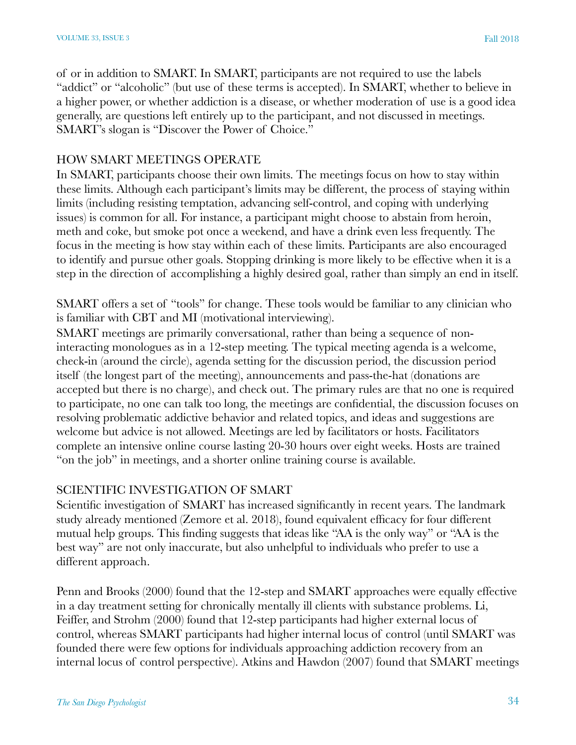of or in addition to SMART. In SMART, participants are not required to use the labels "addict" or "alcoholic" (but use of these terms is accepted). In SMART, whether to believe in a higher power, or whether addiction is a disease, or whether moderation of use is a good idea generally, are questions left entirely up to the participant, and not discussed in meetings. SMART's slogan is "Discover the Power of Choice."

#### HOW SMART MEETINGS OPERATE

In SMART, participants choose their own limits. The meetings focus on how to stay within these limits. Although each participant's limits may be different, the process of staying within limits (including resisting temptation, advancing self-control, and coping with underlying issues) is common for all. For instance, a participant might choose to abstain from heroin, meth and coke, but smoke pot once a weekend, and have a drink even less frequently. The focus in the meeting is how stay within each of these limits. Participants are also encouraged to identify and pursue other goals. Stopping drinking is more likely to be effective when it is a step in the direction of accomplishing a highly desired goal, rather than simply an end in itself.

SMART offers a set of "tools" for change. These tools would be familiar to any clinician who is familiar with CBT and MI (motivational interviewing).

SMART meetings are primarily conversational, rather than being a sequence of noninteracting monologues as in a 12-step meeting. The typical meeting agenda is a welcome, check-in (around the circle), agenda setting for the discussion period, the discussion period itself (the longest part of the meeting), announcements and pass-the-hat (donations are accepted but there is no charge), and check out. The primary rules are that no one is required to participate, no one can talk too long, the meetings are confidential, the discussion focuses on resolving problematic addictive behavior and related topics, and ideas and suggestions are welcome but advice is not allowed. Meetings are led by facilitators or hosts. Facilitators complete an intensive online course lasting 20-30 hours over eight weeks. Hosts are trained "on the job" in meetings, and a shorter online training course is available.

#### SCIENTIFIC INVESTIGATION OF SMART

Scientific investigation of SMART has increased significantly in recent years. The landmark study already mentioned (Zemore et al. 2018), found equivalent efficacy for four different mutual help groups. This finding suggests that ideas like "AA is the only way" or "AA is the best way" are not only inaccurate, but also unhelpful to individuals who prefer to use a different approach.

Penn and Brooks (2000) found that the 12-step and SMART approaches were equally effective in a day treatment setting for chronically mentally ill clients with substance problems. Li, Feiffer, and Strohm (2000) found that 12-step participants had higher external locus of control, whereas SMART participants had higher internal locus of control (until SMART was founded there were few options for individuals approaching addiction recovery from an internal locus of control perspective). Atkins and Hawdon (2007) found that SMART meetings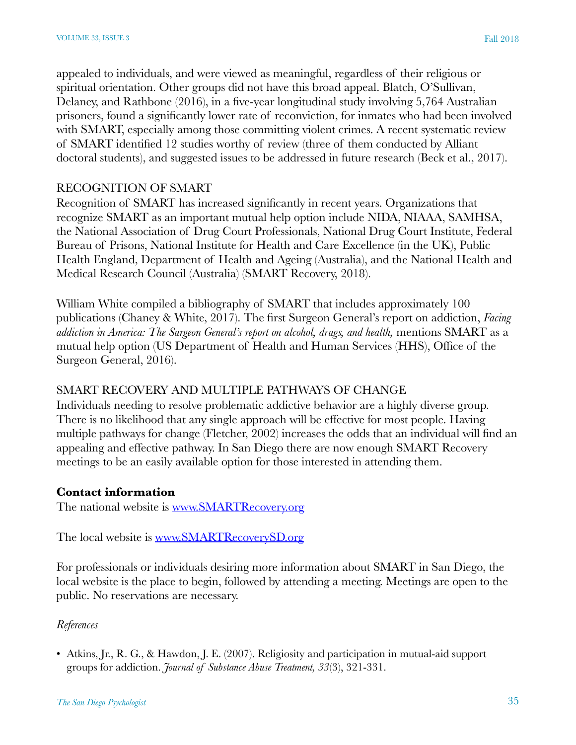appealed to individuals, and were viewed as meaningful, regardless of their religious or spiritual orientation. Other groups did not have this broad appeal. Blatch, O'Sullivan, Delaney, and Rathbone (2016), in a five-year longitudinal study involving 5,764 Australian prisoners, found a significantly lower rate of reconviction, for inmates who had been involved with SMART, especially among those committing violent crimes. A recent systematic review of SMART identified 12 studies worthy of review (three of them conducted by Alliant doctoral students), and suggested issues to be addressed in future research (Beck et al., 2017).

#### RECOGNITION OF SMART

Recognition of SMART has increased significantly in recent years. Organizations that recognize SMART as an important mutual help option include NIDA, NIAAA, SAMHSA, the National Association of Drug Court Professionals, National Drug Court Institute, Federal Bureau of Prisons, National Institute for Health and Care Excellence (in the UK), Public Health England, Department of Health and Ageing (Australia), and the National Health and Medical Research Council (Australia) (SMART Recovery, 2018).

William White compiled a bibliography of SMART that includes approximately 100 publications (Chaney & White, 2017). The first Surgeon General's report on addiction, *Facing addiction in America: The Surgeon General's report on alcohol, drugs, and health,* mentions SMART as a mutual help option (US Department of Health and Human Services (HHS), Office of the Surgeon General, 2016).

#### SMART RECOVERY AND MULTIPLE PATHWAYS OF CHANGE

Individuals needing to resolve problematic addictive behavior are a highly diverse group. There is no likelihood that any single approach will be effective for most people. Having multiple pathways for change (Fletcher, 2002) increases the odds that an individual will find an appealing and effective pathway. In San Diego there are now enough SMART Recovery meetings to be an easily available option for those interested in attending them.

#### **Contact information**

The national website is [www.SMARTRecovery.org](https://www.smartrecovery.org/)

The local website is <u>[www.SMARTRecoverySD.org](https://www.SMARTRecoverySD.org)</u>

For professionals or individuals desiring more information about SMART in San Diego, the local website is the place to begin, followed by attending a meeting. Meetings are open to the public. No reservations are necessary.

#### *References*

• Atkins, Jr., R. G., & Hawdon, J. E. (2007). Religiosity and participation in mutual-aid support groups for addiction. *Journal of Substance Abuse Treatment, 33*(3), 321-331.